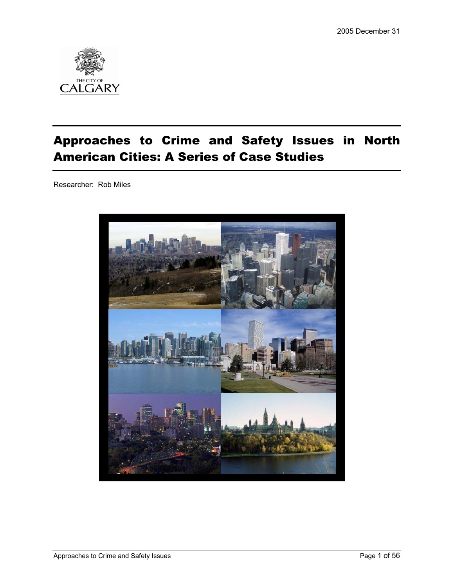

# Approaches to Crime and Safety Issues in North American Cities: A Series of Case Studies

Researcher: Rob Miles

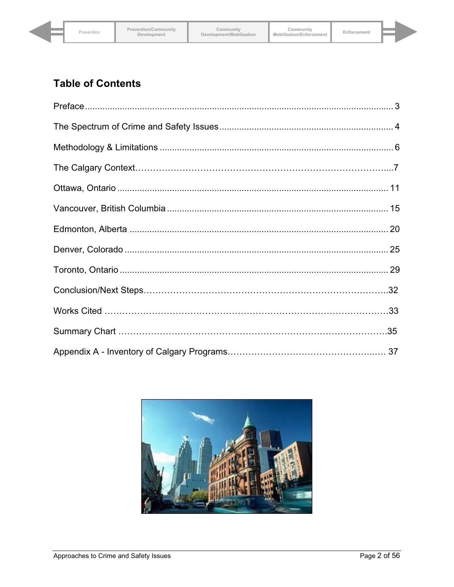# **Table of Contents**

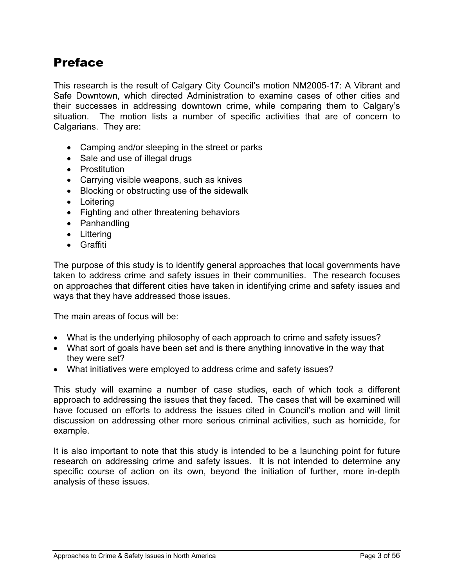# Preface

This research is the result of Calgary City Council's motion NM2005-17: A Vibrant and Safe Downtown, which directed Administration to examine cases of other cities and their successes in addressing downtown crime, while comparing them to Calgary's situation. The motion lists a number of specific activities that are of concern to Calgarians. They are:

- Camping and/or sleeping in the street or parks
- Sale and use of illegal drugs
- Prostitution
- Carrying visible weapons, such as knives
- Blocking or obstructing use of the sidewalk
- Loitering
- Fighting and other threatening behaviors
- Panhandling
- $\bullet$  Littering
- **•** Graffiti

The purpose of this study is to identify general approaches that local governments have taken to address crime and safety issues in their communities. The research focuses on approaches that different cities have taken in identifying crime and safety issues and ways that they have addressed those issues.

The main areas of focus will be:

- What is the underlying philosophy of each approach to crime and safety issues?
- What sort of goals have been set and is there anything innovative in the way that they were set?
- What initiatives were employed to address crime and safety issues?

This study will examine a number of case studies, each of which took a different approach to addressing the issues that they faced. The cases that will be examined will have focused on efforts to address the issues cited in Council's motion and will limit discussion on addressing other more serious criminal activities, such as homicide, for example.

It is also important to note that this study is intended to be a launching point for future research on addressing crime and safety issues. It is not intended to determine any specific course of action on its own, beyond the initiation of further, more in-depth analysis of these issues.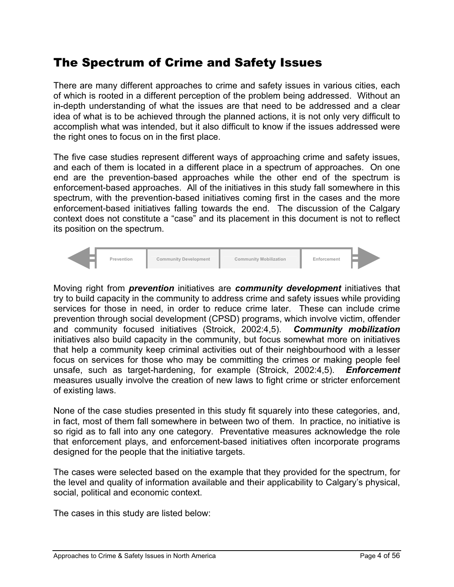# The Spectrum of Crime and Safety Issues

There are many different approaches to crime and safety issues in various cities, each of which is rooted in a different perception of the problem being addressed. Without an in-depth understanding of what the issues are that need to be addressed and a clear idea of what is to be achieved through the planned actions, it is not only very difficult to accomplish what was intended, but it also difficult to know if the issues addressed were the right ones to focus on in the first place.

The five case studies represent different ways of approaching crime and safety issues, and each of them is located in a different place in a spectrum of approaches. On one end are the prevention-based approaches while the other end of the spectrum is enforcement-based approaches. All of the initiatives in this study fall somewhere in this spectrum, with the prevention-based initiatives coming first in the cases and the more enforcement-based initiatives falling towards the end. The discussion of the Calgary context does not constitute a "case" and its placement in this document is not to reflect its position on the spectrum.

| Prevention | <b>Community Development</b> | <b>Community Mobilization</b> | nforcement |  |
|------------|------------------------------|-------------------------------|------------|--|

Moving right from *prevention* initiatives are *community development* initiatives that try to build capacity in the community to address crime and safety issues while providing services for those in need, in order to reduce crime later. These can include crime prevention through social development (CPSD) programs, which involve victim, offender and community focused initiatives (Stroick, 2002:4,5). *Community mobilization* initiatives also build capacity in the community, but focus somewhat more on initiatives that help a community keep criminal activities out of their neighbourhood with a lesser focus on services for those who may be committing the crimes or making people feel unsafe, such as target-hardening, for example (Stroick, 2002:4,5). *Enforcement* measures usually involve the creation of new laws to fight crime or stricter enforcement of existing laws.

None of the case studies presented in this study fit squarely into these categories, and, in fact, most of them fall somewhere in between two of them. In practice, no initiative is so rigid as to fall into any one category. Preventative measures acknowledge the role that enforcement plays, and enforcement-based initiatives often incorporate programs designed for the people that the initiative targets.

The cases were selected based on the example that they provided for the spectrum, for the level and quality of information available and their applicability to Calgary's physical, social, political and economic context.

The cases in this study are listed below: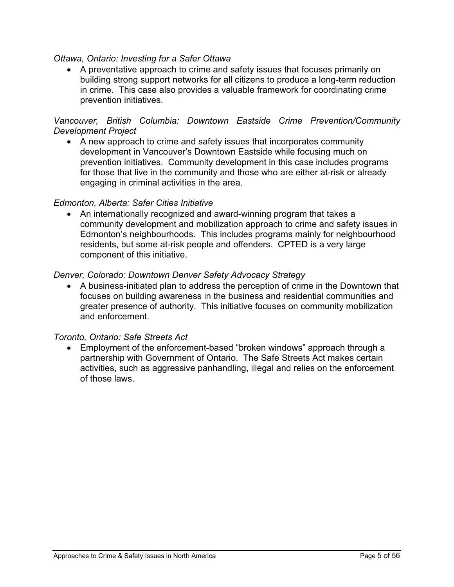## *Ottawa, Ontario: Investing for a Safer Ottawa*

• A preventative approach to crime and safety issues that focuses primarily on building strong support networks for all citizens to produce a long-term reduction in crime. This case also provides a valuable framework for coordinating crime prevention initiatives.

## *Vancouver, British Columbia: Downtown Eastside Crime Prevention/Community Development Project*

• A new approach to crime and safety issues that incorporates community development in Vancouver's Downtown Eastside while focusing much on prevention initiatives. Community development in this case includes programs for those that live in the community and those who are either at-risk or already engaging in criminal activities in the area.

## *Edmonton, Alberta: Safer Cities Initiative*

• An internationally recognized and award-winning program that takes a community development and mobilization approach to crime and safety issues in Edmonton's neighbourhoods. This includes programs mainly for neighbourhood residents, but some at-risk people and offenders. CPTED is a very large component of this initiative.

## *Denver, Colorado: Downtown Denver Safety Advocacy Strategy*

• A business-initiated plan to address the perception of crime in the Downtown that focuses on building awareness in the business and residential communities and greater presence of authority. This initiative focuses on community mobilization and enforcement.

## *Toronto, Ontario: Safe Streets Act*

• Employment of the enforcement-based "broken windows" approach through a partnership with Government of Ontario. The Safe Streets Act makes certain activities, such as aggressive panhandling, illegal and relies on the enforcement of those laws.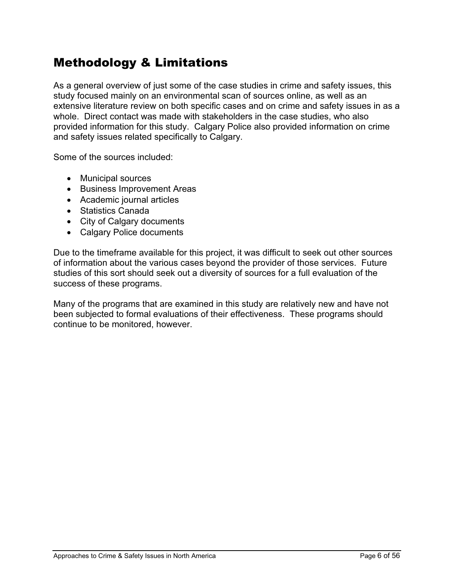## Methodology & Limitations

As a general overview of just some of the case studies in crime and safety issues, this study focused mainly on an environmental scan of sources online, as well as an extensive literature review on both specific cases and on crime and safety issues in as a whole. Direct contact was made with stakeholders in the case studies, who also provided information for this study. Calgary Police also provided information on crime and safety issues related specifically to Calgary.

Some of the sources included:

- Municipal sources
- Business Improvement Areas
- Academic journal articles
- Statistics Canada
- City of Calgary documents
- Calgary Police documents

Due to the timeframe available for this project, it was difficult to seek out other sources of information about the various cases beyond the provider of those services. Future studies of this sort should seek out a diversity of sources for a full evaluation of the success of these programs.

Many of the programs that are examined in this study are relatively new and have not been subjected to formal evaluations of their effectiveness. These programs should continue to be monitored, however.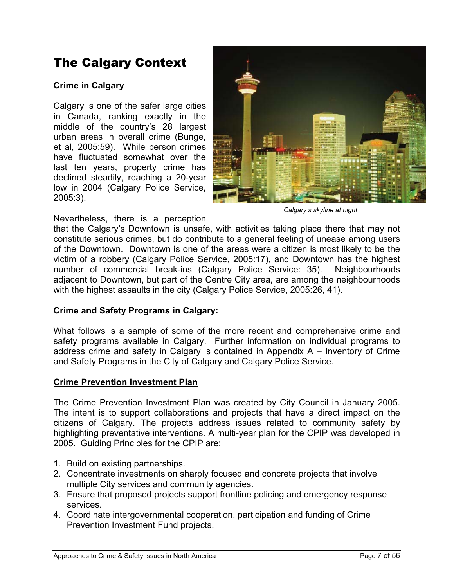# The Calgary Context

## **Crime in Calgary**

Calgary is one of the safer large cities in Canada, ranking exactly in the middle of the country's 28 largest urban areas in overall crime (Bunge, et al, 2005:59). While person crimes have fluctuated somewhat over the last ten years, property crime has declined steadily, reaching a 20-year low in 2004 (Calgary Police Service, 2005:3).



*Calgary's skyline at night* 

Nevertheless, there is a perception

that the Calgary's Downtown is unsafe, with activities taking place there that may not constitute serious crimes, but do contribute to a general feeling of unease among users of the Downtown. Downtown is one of the areas were a citizen is most likely to be the victim of a robbery (Calgary Police Service, 2005:17), and Downtown has the highest number of commercial break-ins (Calgary Police Service: 35). Neighbourhoods adjacent to Downtown, but part of the Centre City area, are among the neighbourhoods with the highest assaults in the city (Calgary Police Service, 2005:26, 41).

## **Crime and Safety Programs in Calgary:**

What follows is a sample of some of the more recent and comprehensive crime and safety programs available in Calgary. Further information on individual programs to address crime and safety in Calgary is contained in Appendix A – Inventory of Crime and Safety Programs in the City of Calgary and Calgary Police Service.

## **Crime Prevention Investment Plan**

The Crime Prevention Investment Plan was created by City Council in January 2005. The intent is to support collaborations and projects that have a direct impact on the citizens of Calgary. The projects address issues related to community safety by highlighting preventative interventions. A multi-year plan for the CPIP was developed in 2005. Guiding Principles for the CPIP are:

- 1. Build on existing partnerships.
- 2. Concentrate investments on sharply focused and concrete projects that involve multiple City services and community agencies.
- 3. Ensure that proposed projects support frontline policing and emergency response services.
- 4. Coordinate intergovernmental cooperation, participation and funding of Crime Prevention Investment Fund projects.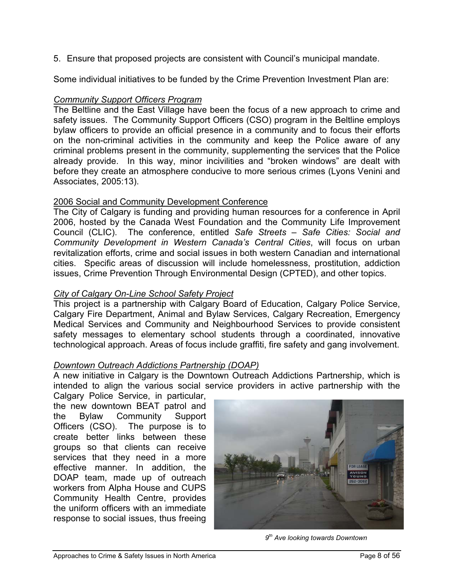5. Ensure that proposed projects are consistent with Council's municipal mandate.

Some individual initiatives to be funded by the Crime Prevention Investment Plan are:

## *Community Support Officers Program*

The Beltline and the East Village have been the focus of a new approach to crime and safety issues. The Community Support Officers (CSO) program in the Beltline employs bylaw officers to provide an official presence in a community and to focus their efforts on the non-criminal activities in the community and keep the Police aware of any criminal problems present in the community, supplementing the services that the Police already provide. In this way, minor incivilities and "broken windows" are dealt with before they create an atmosphere conducive to more serious crimes (Lyons Venini and Associates, 2005:13).

## 2006 Social and Community Development Conference

The City of Calgary is funding and providing human resources for a conference in April 2006, hosted by the Canada West Foundation and the Community Life Improvement Council (CLIC). The conference, entitled *Safe Streets – Safe Cities: Social and Community Development in Western Canada's Central Cities*, will focus on urban revitalization efforts, crime and social issues in both western Canadian and international cities. Specific areas of discussion will include homelessness, prostitution, addiction issues, Crime Prevention Through Environmental Design (CPTED), and other topics.

## *City of Calgary On-Line School Safety Project*

This project is a partnership with Calgary Board of Education, Calgary Police Service, Calgary Fire Department, Animal and Bylaw Services, Calgary Recreation, Emergency Medical Services and Community and Neighbourhood Services to provide consistent safety messages to elementary school students through a coordinated, innovative technological approach. Areas of focus include graffiti, fire safety and gang involvement.

## *Downtown Outreach Addictions Partnership (DOAP)*

A new initiative in Calgary is the Downtown Outreach Addictions Partnership, which is intended to align the various social service providers in active partnership with the

Calgary Police Service, in particular, the new downtown BEAT patrol and the Bylaw Community Support Officers (CSO). The purpose is to create better links between these groups so that clients can receive services that they need in a more effective manner. In addition, the DOAP team, made up of outreach workers from Alpha House and CUPS Community Health Centre, provides the uniform officers with an immediate response to social issues, thus freeing



*9th Ave looking towards Downtown*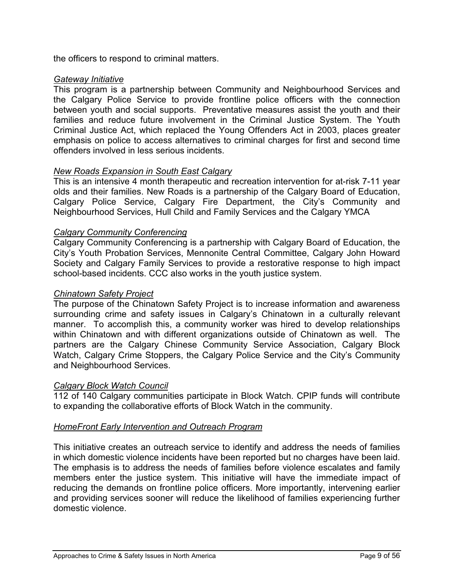the officers to respond to criminal matters.

#### *Gateway Initiative*

This program is a partnership between Community and Neighbourhood Services and the Calgary Police Service to provide frontline police officers with the connection between youth and social supports. Preventative measures assist the youth and their families and reduce future involvement in the Criminal Justice System. The Youth Criminal Justice Act, which replaced the Young Offenders Act in 2003, places greater emphasis on police to access alternatives to criminal charges for first and second time offenders involved in less serious incidents.

## *New Roads Expansion in South East Calgary*

This is an intensive 4 month therapeutic and recreation intervention for at-risk 7-11 year olds and their families. New Roads is a partnership of the Calgary Board of Education, Calgary Police Service, Calgary Fire Department, the City's Community and Neighbourhood Services, Hull Child and Family Services and the Calgary YMCA

#### *Calgary Community Conferencing*

Calgary Community Conferencing is a partnership with Calgary Board of Education, the City's Youth Probation Services, Mennonite Central Committee, Calgary John Howard Society and Calgary Family Services to provide a restorative response to high impact school-based incidents. CCC also works in the youth justice system.

#### *Chinatown Safety Project*

The purpose of the Chinatown Safety Project is to increase information and awareness surrounding crime and safety issues in Calgary's Chinatown in a culturally relevant manner. To accomplish this, a community worker was hired to develop relationships within Chinatown and with different organizations outside of Chinatown as well. The partners are the Calgary Chinese Community Service Association, Calgary Block Watch, Calgary Crime Stoppers, the Calgary Police Service and the City's Community and Neighbourhood Services.

#### *Calgary Block Watch Council*

112 of 140 Calgary communities participate in Block Watch. CPIP funds will contribute to expanding the collaborative efforts of Block Watch in the community.

#### *HomeFront Early Intervention and Outreach Program*

This initiative creates an outreach service to identify and address the needs of families in which domestic violence incidents have been reported but no charges have been laid. The emphasis is to address the needs of families before violence escalates and family members enter the justice system. This initiative will have the immediate impact of reducing the demands on frontline police officers. More importantly, intervening earlier and providing services sooner will reduce the likelihood of families experiencing further domestic violence.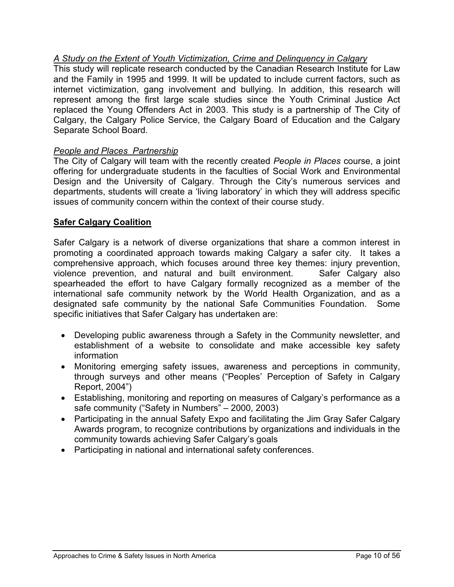## *A Study on the Extent of Youth Victimization, Crime and Delinquency in Calgary*

This study will replicate research conducted by the Canadian Research Institute for Law and the Family in 1995 and 1999. It will be updated to include current factors, such as internet victimization, gang involvement and bullying. In addition, this research will represent among the first large scale studies since the Youth Criminal Justice Act replaced the Young Offenders Act in 2003. This study is a partnership of The City of Calgary, the Calgary Police Service, the Calgary Board of Education and the Calgary Separate School Board.

## *People and Places Partnership*

The City of Calgary will team with the recently created *People in Places* course, a joint offering for undergraduate students in the faculties of Social Work and Environmental Design and the University of Calgary. Through the City's numerous services and departments, students will create a 'living laboratory' in which they will address specific issues of community concern within the context of their course study.

## **Safer Calgary Coalition**

Safer Calgary is a network of diverse organizations that share a common interest in promoting a coordinated approach towards making Calgary a safer city. It takes a comprehensive approach, which focuses around three key themes: injury prevention, violence prevention, and natural and built environment. Safer Calgary also spearheaded the effort to have Calgary formally recognized as a member of the international safe community network by the World Health Organization, and as a designated safe community by the national Safe Communities Foundation. Some specific initiatives that Safer Calgary has undertaken are:

- Developing public awareness through a Safety in the Community newsletter, and establishment of a website to consolidate and make accessible key safety information
- Monitoring emerging safety issues, awareness and perceptions in community, through surveys and other means ("Peoples' Perception of Safety in Calgary Report, 2004")
- Establishing, monitoring and reporting on measures of Calgary's performance as a safe community ("Safety in Numbers" – 2000, 2003)
- Participating in the annual Safety Expo and facilitating the Jim Gray Safer Calgary Awards program, to recognize contributions by organizations and individuals in the community towards achieving Safer Calgary's goals
- Participating in national and international safety conferences.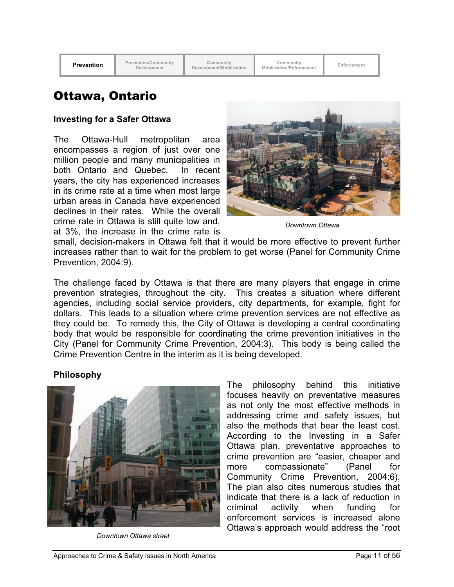**Prevention Prevention/Community Development**

# Ottawa, Ontario

#### **Investing for a Safer Ottawa**

The Ottawa-Hull metropolitan area encompasses a region of just over one million people and many municipalities in both Ontario and Quebec. In recent years, the city has experienced increases in its crime rate at a time when most large urban areas in Canada have experienced declines in their rates. While the overall crime rate in Ottawa is still quite low and, at 3%, the increase in the crime rate is



*Downtown Ottawa* 

small, decision-makers in Ottawa felt that it would be more effective to prevent further increases rather than to wait for the problem to get worse (Panel for Community Crime Prevention, 2004:9).

The challenge faced by Ottawa is that there are many players that engage in crime prevention strategies, throughout the city. This creates a situation where different agencies, including social service providers, city departments, for example, fight for dollars. This leads to a situation where crime prevention services are not effective as they could be. To remedy this, the City of Ottawa is developing a central coordinating body that would be responsible for coordinating the crime prevention initiatives in the City (Panel for Community Crime Prevention, 2004:3). This body is being called the Crime Prevention Centre in the interim as it is being developed.

## **Philosophy**



*Downtown Ottawa street* 

The philosophy behind this initiative focuses heavily on preventative measures as not only the most effective methods in addressing crime and safety issues, but also the methods that bear the least cost. According to the Investing in a Safer Ottawa plan, preventative approaches to crime prevention are "easier, cheaper and more compassionate" (Panel for Community Crime Prevention, 2004:6). The plan also cites numerous studies that indicate that there is a lack of reduction in criminal activity when funding for enforcement services is increased alone Ottawa's approach would address the "root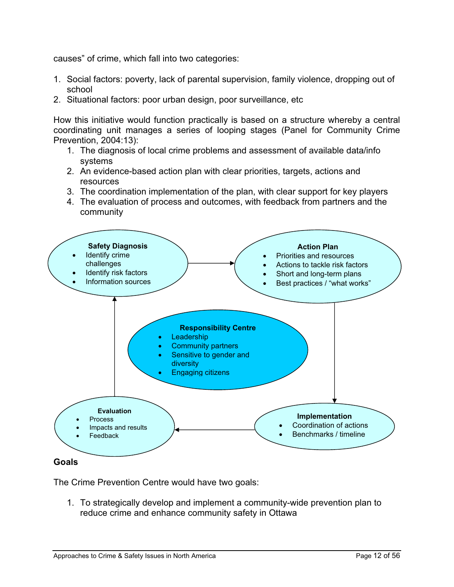causes" of crime, which fall into two categories:

- 1. Social factors: poverty, lack of parental supervision, family violence, dropping out of school
- 2. Situational factors: poor urban design, poor surveillance, etc

How this initiative would function practically is based on a structure whereby a central coordinating unit manages a series of looping stages (Panel for Community Crime Prevention, 2004:13):

- 1. The diagnosis of local crime problems and assessment of available data/info systems
- 2. An evidence-based action plan with clear priorities, targets, actions and resources
- 3. The coordination implementation of the plan, with clear support for key players
- 4. The evaluation of process and outcomes, with feedback from partners and the community



The Crime Prevention Centre would have two goals:

1. To strategically develop and implement a community-wide prevention plan to reduce crime and enhance community safety in Ottawa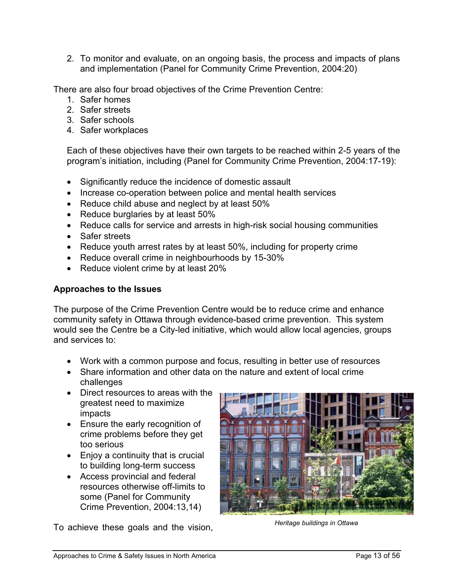2. To monitor and evaluate, on an ongoing basis, the process and impacts of plans and implementation (Panel for Community Crime Prevention, 2004:20)

There are also four broad objectives of the Crime Prevention Centre:

- 1. Safer homes
- 2. Safer streets
- 3. Safer schools
- 4. Safer workplaces

Each of these objectives have their own targets to be reached within 2-5 years of the program's initiation, including (Panel for Community Crime Prevention, 2004:17-19):

- Significantly reduce the incidence of domestic assault
- Increase co-operation between police and mental health services
- $\bullet$  Reduce child abuse and neglect by at least 50%
- $\bullet$  Reduce burglaries by at least 50%
- Reduce calls for service and arrests in high-risk social housing communities
- Safer streets
- Reduce youth arrest rates by at least 50%, including for property crime
- Reduce overall crime in neighbourhoods by 15-30%
- $\bullet$  Reduce violent crime by at least 20%

## **Approaches to the Issues**

The purpose of the Crime Prevention Centre would be to reduce crime and enhance community safety in Ottawa through evidence-based crime prevention. This system would see the Centre be a City-led initiative, which would allow local agencies, groups and services to:

- Work with a common purpose and focus, resulting in better use of resources
- Share information and other data on the nature and extent of local crime challenges
- Direct resources to areas with the greatest need to maximize impacts
- Ensure the early recognition of crime problems before they get too serious
- $\bullet$  Enjoy a continuity that is crucial to building long-term success
- Access provincial and federal resources otherwise off-limits to some (Panel for Community Crime Prevention, 2004:13,14)

To achieve these goals and the vision, *Heritage buildings in Ottawa* 

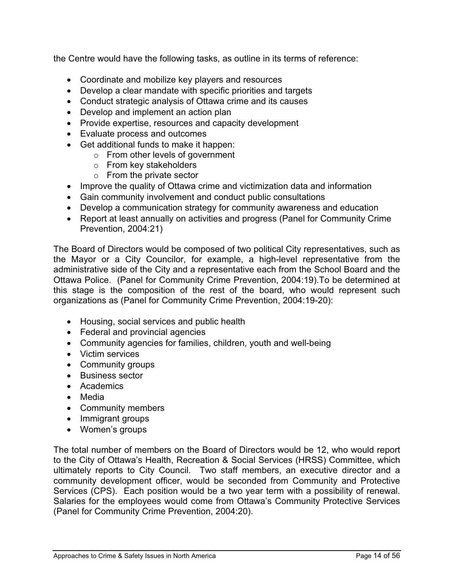the Centre would have the following tasks, as outline in its terms of reference:

- Coordinate and mobilize key players and resources
- Develop a clear mandate with specific priorities and targets
- Conduct strategic analysis of Ottawa crime and its causes
- Develop and implement an action plan
- Provide expertise, resources and capacity development
- Evaluate process and outcomes
- Get additional funds to make it happen:
	- o From other levels of government
		- o From key stakeholders
	- o From the private sector
- Improve the quality of Ottawa crime and victimization data and information
- Gain community involvement and conduct public consultations
- Develop a communication strategy for community awareness and education
- Report at least annually on activities and progress (Panel for Community Crime Prevention, 2004:21)

The Board of Directors would be composed of two political City representatives, such as the Mayor or a City Councilor, for example, a high-level representative from the administrative side of the City and a representative each from the School Board and the Ottawa Police. (Panel for Community Crime Prevention, 2004:19).To be determined at this stage is the composition of the rest of the board, who would represent such organizations as (Panel for Community Crime Prevention, 2004:19-20):

- Housing, social services and public health
- Federal and provincial agencies
- Community agencies for families, children, youth and well-being
- Victim services
- Community groups
- Business sector
- Academics
- $\bullet$  Media
- Community members
- Immigrant groups
- Women's groups

The total number of members on the Board of Directors would be 12, who would report to the City of Ottawa's Health, Recreation & Social Services (HRSS) Committee, which ultimately reports to City Council. Two staff members, an executive director and a community development officer, would be seconded from Community and Protective Services (CPS). Each position would be a two year term with a possibility of renewal. Salaries for the employees would come from Ottawa's Community Protective Services (Panel for Community Crime Prevention, 2004:20).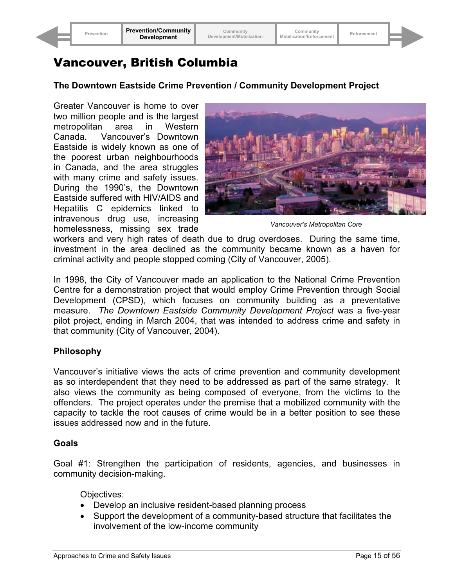# Vancouver, British Columbia

**The Downtown Eastside Crime Prevention / Community Development Project** 

Greater Vancouver is home to over two million people and is the largest metropolitan area in Western Canada. Vancouver's Downtown Eastside is widely known as one of the poorest urban neighbourhoods in Canada, and the area struggles with many crime and safety issues. During the 1990's, the Downtown Eastside suffered with HIV/AIDS and Hepatitis C epidemics linked to intravenous drug use, increasing homelessness, missing sex trade



*Vancouver's Metropolitan Core* 

workers and very high rates of death due to drug overdoses. During the same time, investment in the area declined as the community became known as a haven for criminal activity and people stopped coming (City of Vancouver, 2005).

In 1998, the City of Vancouver made an application to the National Crime Prevention Centre for a demonstration project that would employ Crime Prevention through Social Development (CPSD), which focuses on community building as a preventative measure. *The Downtown Eastside Community Development Project* was a five-year pilot project, ending in March 2004, that was intended to address crime and safety in that community (City of Vancouver, 2004).

## **Philosophy**

Vancouver's initiative views the acts of crime prevention and community development as so interdependent that they need to be addressed as part of the same strategy. It also views the community as being composed of everyone, from the victims to the offenders. The project operates under the premise that a mobilized community with the capacity to tackle the root causes of crime would be in a better position to see these issues addressed now and in the future.

## **Goals**

Goal #1: Strengthen the participation of residents, agencies, and businesses in community decision-making.

Objectives:

- Develop an inclusive resident-based planning process
- Support the development of a community-based structure that facilitates the involvement of the low-income community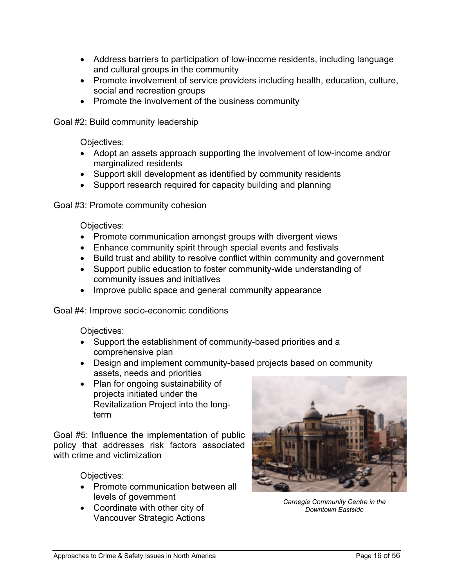- Address barriers to participation of low-income residents, including language and cultural groups in the community
- Promote involvement of service providers including health, education, culture, social and recreation groups
- Promote the involvement of the business community

Goal #2: Build community leadership

Objectives:

- Adopt an assets approach supporting the involvement of low-income and/or marginalized residents
- Support skill development as identified by community residents
- Support research required for capacity building and planning

Goal #3: Promote community cohesion

Objectives:

- Promote communication amongst groups with divergent views
- Enhance community spirit through special events and festivals
- Build trust and ability to resolve conflict within community and government
- Support public education to foster community-wide understanding of community issues and initiatives
- Improve public space and general community appearance

Goal #4: Improve socio-economic conditions

Objectives:

- Support the establishment of community-based priorities and a comprehensive plan
- Design and implement community-based projects based on community assets, needs and priorities
- Plan for ongoing sustainability of projects initiated under the Revitalization Project into the longterm

Goal #5: Influence the implementation of public policy that addresses risk factors associated with crime and victimization

Objectives:

- Promote communication between all levels of government
- Coordinate with other city of Vancouver Strategic Actions



*Carnegie Community Centre in the Downtown Eastside*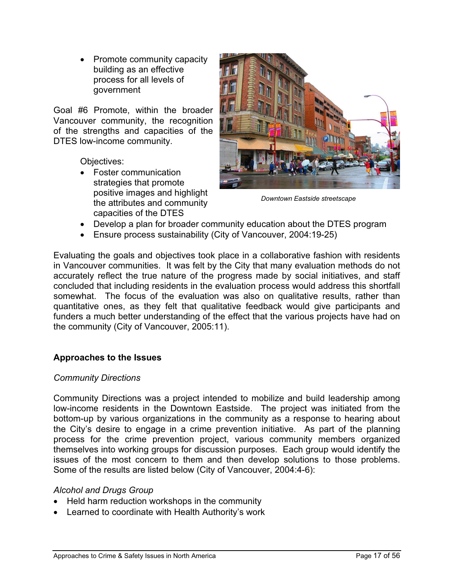• Promote community capacity building as an effective process for all levels of government

Goal #6 Promote, within the broader Vancouver community, the recognition of the strengths and capacities of the DTES low-income community.

Objectives:

• Foster communication strategies that promote positive images and highlight the attributes and community capacities of the DTES



*Downtown Eastside streetscape* 

- Develop a plan for broader community education about the DTES program
- Ensure process sustainability (City of Vancouver, 2004:19-25)

Evaluating the goals and objectives took place in a collaborative fashion with residents in Vancouver communities. It was felt by the City that many evaluation methods do not accurately reflect the true nature of the progress made by social initiatives, and staff concluded that including residents in the evaluation process would address this shortfall somewhat. The focus of the evaluation was also on qualitative results, rather than quantitative ones, as they felt that qualitative feedback would give participants and funders a much better understanding of the effect that the various projects have had on the community (City of Vancouver, 2005:11).

## **Approaches to the Issues**

## *Community Directions*

Community Directions was a project intended to mobilize and build leadership among low-income residents in the Downtown Eastside. The project was initiated from the bottom-up by various organizations in the community as a response to hearing about the City's desire to engage in a crime prevention initiative. As part of the planning process for the crime prevention project, various community members organized themselves into working groups for discussion purposes. Each group would identify the issues of the most concern to them and then develop solutions to those problems. Some of the results are listed below (City of Vancouver, 2004:4-6):

## *Alcohol and Drugs Group*

- Held harm reduction workshops in the community
- Learned to coordinate with Health Authority's work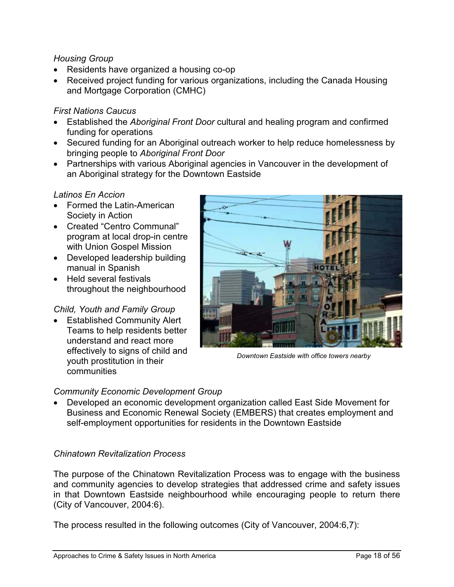## *Housing Group*

- Residents have organized a housing co-op
- Received project funding for various organizations, including the Canada Housing and Mortgage Corporation (CMHC)

## *First Nations Caucus*

- **•** Established the *Aboriginal Front Door* cultural and healing program and confirmed funding for operations
- Secured funding for an Aboriginal outreach worker to help reduce homelessness by bringing people to *Aboriginal Front Door*
- Partnerships with various Aboriginal agencies in Vancouver in the development of an Aboriginal strategy for the Downtown Eastside

## *Latinos En Accion*

- Formed the Latin-American Society in Action
- Created "Centro Communal" program at local drop-in centre with Union Gospel Mission
- Developed leadership building manual in Spanish
- Held several festivals throughout the neighbourhood

## *Child, Youth and Family Group*

• Established Community Alert Teams to help residents better understand and react more effectively to signs of child and youth prostitution in their communities



*Downtown Eastside with office towers nearby* 

## *Community Economic Development Group*

• Developed an economic development organization called East Side Movement for Business and Economic Renewal Society (EMBERS) that creates employment and self-employment opportunities for residents in the Downtown Eastside

## *Chinatown Revitalization Process*

The purpose of the Chinatown Revitalization Process was to engage with the business and community agencies to develop strategies that addressed crime and safety issues in that Downtown Eastside neighbourhood while encouraging people to return there (City of Vancouver, 2004:6).

The process resulted in the following outcomes (City of Vancouver, 2004:6,7):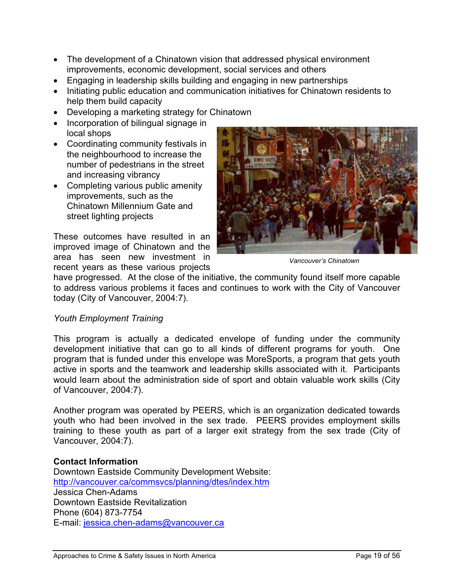- The development of a Chinatown vision that addressed physical environment improvements, economic development, social services and others
- Engaging in leadership skills building and engaging in new partnerships
- Initiating public education and communication initiatives for Chinatown residents to help them build capacity
- Developing a marketing strategy for Chinatown
- Incorporation of bilingual signage in local shops
- Coordinating community festivals in the neighbourhood to increase the number of pedestrians in the street and increasing vibrancy
- Completing various public amenity improvements, such as the Chinatown Millennium Gate and street lighting projects

These outcomes have resulted in an improved image of Chinatown and the area has seen new investment in recent years as these various projects



*Vancouver's Chinatown* 

have progressed. At the close of the initiative, the community found itself more capable to address various problems it faces and continues to work with the City of Vancouver today (City of Vancouver, 2004:7).

## *Youth Employment Training*

This program is actually a dedicated envelope of funding under the community development initiative that can go to all kinds of different programs for youth. One program that is funded under this envelope was MoreSports, a program that gets youth active in sports and the teamwork and leadership skills associated with it. Participants would learn about the administration side of sport and obtain valuable work skills (City of Vancouver, 2004:7).

Another program was operated by PEERS, which is an organization dedicated towards youth who had been involved in the sex trade. PEERS provides employment skills training to these youth as part of a larger exit strategy from the sex trade (City of Vancouver, 2004:7).

## **Contact Information**

Downtown Eastside Community Development Website: http://vancouver.ca/commsvcs/planning/dtes/index.htm Jessica Chen-Adams Downtown Eastside Revitalization Phone (604) 873-7754 E-mail: jessica.chen-adams@vancouver.ca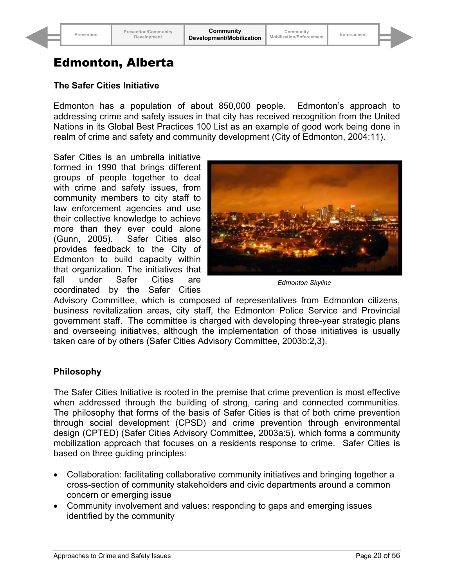# Edmonton, Alberta

## **The Safer Cities Initiative**

Edmonton has a population of about 850,000 people. Edmonton's approach to addressing crime and safety issues in that city has received recognition from the United Nations in its Global Best Practices 100 List as an example of good work being done in realm of crime and safety and community development (City of Edmonton, 2004:11).

Safer Cities is an umbrella initiative formed in 1990 that brings different groups of people together to deal with crime and safety issues, from community members to city staff to law enforcement agencies and use their collective knowledge to achieve more than they ever could alone (Gunn, 2005). Safer Cities also provides feedback to the City of Edmonton to build capacity within that organization. The initiatives that fall under Safer Cities are coordinated by the Safer Cities



*Edmonton Skyline* 

Advisory Committee, which is composed of representatives from Edmonton citizens, business revitalization areas, city staff, the Edmonton Police Service and Provincial government staff. The committee is charged with developing three-year strategic plans and overseeing initiatives, although the implementation of those initiatives is usually taken care of by others (Safer Cities Advisory Committee, 2003b:2,3).

## **Philosophy**

The Safer Cities Initiative is rooted in the premise that crime prevention is most effective when addressed through the building of strong, caring and connected communities. The philosophy that forms of the basis of Safer Cities is that of both crime prevention through social development (CPSD) and crime prevention through environmental design (CPTED) (Safer Cities Advisory Committee, 2003a:5), which forms a community mobilization approach that focuses on a residents response to crime. Safer Cities is based on three guiding principles:

- Collaboration: facilitating collaborative community initiatives and bringing together a cross-section of community stakeholders and civic departments around a common concern or emerging issue
- Community involvement and values: responding to gaps and emerging issues identified by the community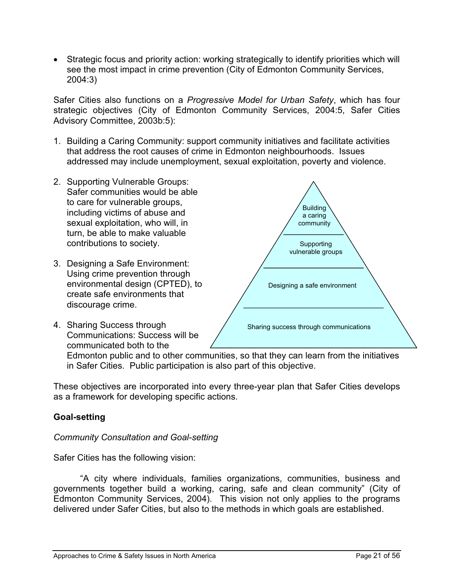• Strategic focus and priority action: working strategically to identify priorities which will see the most impact in crime prevention (City of Edmonton Community Services, 2004:3)

Safer Cities also functions on a *Progressive Model for Urban Safety*, which has four strategic objectives (City of Edmonton Community Services, 2004:5, Safer Cities Advisory Committee, 2003b:5):

- 1. Building a Caring Community: support community initiatives and facilitate activities that address the root causes of crime in Edmonton neighbourhoods. Issues addressed may include unemployment, sexual exploitation, poverty and violence.
- 2. Supporting Vulnerable Groups: Safer communities would be able to care for vulnerable groups, including victims of abuse and sexual exploitation, who will, in turn, be able to make valuable contributions to society.
- 3. Designing a Safe Environment: Using crime prevention through environmental design (CPTED), to create safe environments that discourage crime.
- 4. Sharing Success through Communications: Success will be communicated both to the



Edmonton public and to other communities, so that they can learn from the initiatives in Safer Cities. Public participation is also part of this objective.

These objectives are incorporated into every three-year plan that Safer Cities develops as a framework for developing specific actions.

## **Goal-setting**

## *Community Consultation and Goal-setting*

Safer Cities has the following vision:

 "A city where individuals, families organizations, communities, business and governments together build a working, caring, safe and clean community" (City of Edmonton Community Services, 2004). This vision not only applies to the programs delivered under Safer Cities, but also to the methods in which goals are established.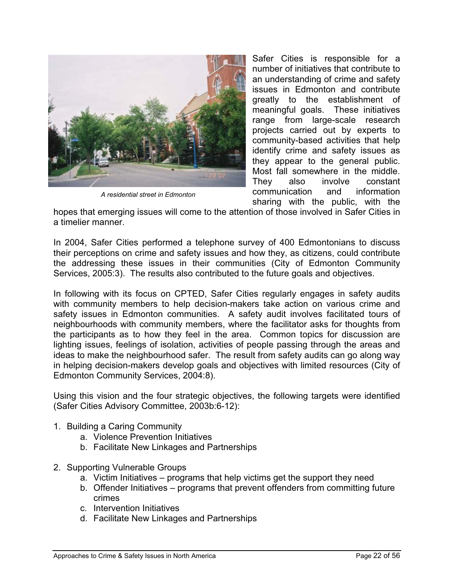

*A residential street in Edmonton* 

Safer Cities is responsible for a number of initiatives that contribute to an understanding of crime and safety issues in Edmonton and contribute greatly to the establishment of meaningful goals. These initiatives range from large-scale research projects carried out by experts to community-based activities that help identify crime and safety issues as they appear to the general public. Most fall somewhere in the middle. They also involve constant communication and information sharing with the public, with the

hopes that emerging issues will come to the attention of those involved in Safer Cities in a timelier manner.

In 2004, Safer Cities performed a telephone survey of 400 Edmontonians to discuss their perceptions on crime and safety issues and how they, as citizens, could contribute the addressing these issues in their communities (City of Edmonton Community Services, 2005:3). The results also contributed to the future goals and objectives.

In following with its focus on CPTED, Safer Cities regularly engages in safety audits with community members to help decision-makers take action on various crime and safety issues in Edmonton communities. A safety audit involves facilitated tours of neighbourhoods with community members, where the facilitator asks for thoughts from the participants as to how they feel in the area. Common topics for discussion are lighting issues, feelings of isolation, activities of people passing through the areas and ideas to make the neighbourhood safer. The result from safety audits can go along way in helping decision-makers develop goals and objectives with limited resources (City of Edmonton Community Services, 2004:8).

Using this vision and the four strategic objectives, the following targets were identified (Safer Cities Advisory Committee, 2003b:6-12):

- 1. Building a Caring Community
	- a. Violence Prevention Initiatives
	- b. Facilitate New Linkages and Partnerships
- 2. Supporting Vulnerable Groups
	- a. Victim Initiatives programs that help victims get the support they need
	- b. Offender Initiatives programs that prevent offenders from committing future crimes
	- c. Intervention Initiatives
	- d. Facilitate New Linkages and Partnerships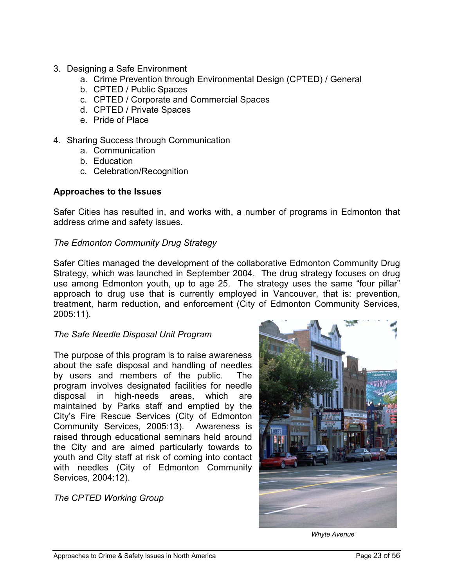- 3. Designing a Safe Environment
	- a. Crime Prevention through Environmental Design (CPTED) / General
	- b. CPTED / Public Spaces
	- c. CPTED / Corporate and Commercial Spaces
	- d. CPTED / Private Spaces
	- e. Pride of Place
- 4. Sharing Success through Communication
	- a. Communication
	- b. Education
	- c. Celebration/Recognition

## **Approaches to the Issues**

Safer Cities has resulted in, and works with, a number of programs in Edmonton that address crime and safety issues.

## *The Edmonton Community Drug Strategy*

Safer Cities managed the development of the collaborative Edmonton Community Drug Strategy, which was launched in September 2004. The drug strategy focuses on drug use among Edmonton youth, up to age 25. The strategy uses the same "four pillar" approach to drug use that is currently employed in Vancouver, that is: prevention, treatment, harm reduction, and enforcement (City of Edmonton Community Services, 2005:11).

## *The Safe Needle Disposal Unit Program*

The purpose of this program is to raise awareness about the safe disposal and handling of needles by users and members of the public. The program involves designated facilities for needle disposal in high-needs areas, which are maintained by Parks staff and emptied by the City's Fire Rescue Services (City of Edmonton Community Services, 2005:13). Awareness is raised through educational seminars held around the City and are aimed particularly towards to youth and City staff at risk of coming into contact with needles (City of Edmonton Community Services, 2004:12).

*The CPTED Working Group*



*Whyte Avenue*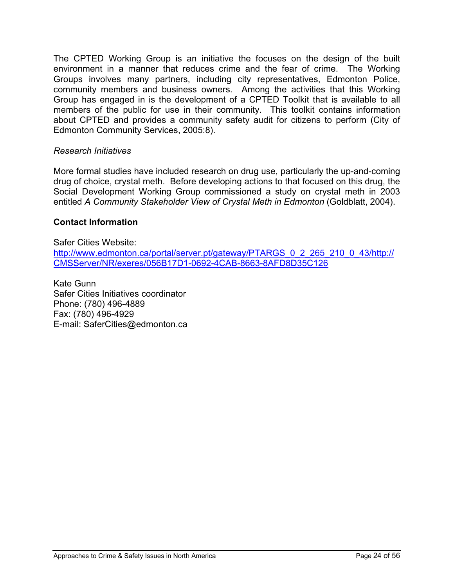The CPTED Working Group is an initiative the focuses on the design of the built environment in a manner that reduces crime and the fear of crime. The Working Groups involves many partners, including city representatives, Edmonton Police, community members and business owners. Among the activities that this Working Group has engaged in is the development of a CPTED Toolkit that is available to all members of the public for use in their community. This toolkit contains information about CPTED and provides a community safety audit for citizens to perform (City of Edmonton Community Services, 2005:8).

## *Research Initiatives*

More formal studies have included research on drug use, particularly the up-and-coming drug of choice, crystal meth. Before developing actions to that focused on this drug, the Social Development Working Group commissioned a study on crystal meth in 2003 entitled *A Community Stakeholder View of Crystal Meth in Edmonton* (Goldblatt, 2004).

## **Contact Information**

Safer Cities Website: http://www.edmonton.ca/portal/server.pt/gateway/PTARGS\_0\_2\_265\_210\_0\_43/http:// CMSServer/NR/exeres/056B17D1-0692-4CAB-8663-8AFD8D35C126

Kate Gunn Safer Cities Initiatives coordinator Phone: (780) 496-4889 Fax: (780) 496-4929 E-mail: SaferCities@edmonton.ca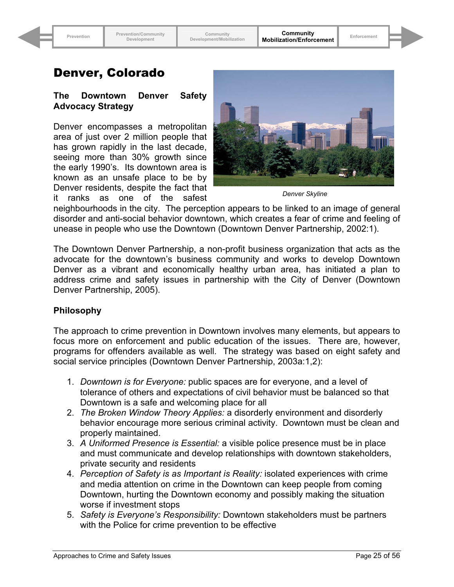# Denver, Colorado

## **The Downtown Denver Safety Advocacy Strategy**

Denver encompasses a metropolitan area of just over 2 million people that has grown rapidly in the last decade, seeing more than 30% growth since the early 1990's. Its downtown area is known as an unsafe place to be by Denver residents, despite the fact that it ranks as one of the safest



*Denver Skyline* 

neighbourhoods in the city. The perception appears to be linked to an image of general disorder and anti-social behavior downtown, which creates a fear of crime and feeling of unease in people who use the Downtown (Downtown Denver Partnership, 2002:1).

The Downtown Denver Partnership, a non-profit business organization that acts as the advocate for the downtown's business community and works to develop Downtown Denver as a vibrant and economically healthy urban area, has initiated a plan to address crime and safety issues in partnership with the City of Denver (Downtown Denver Partnership, 2005).

## **Philosophy**

The approach to crime prevention in Downtown involves many elements, but appears to focus more on enforcement and public education of the issues. There are, however, programs for offenders available as well. The strategy was based on eight safety and social service principles (Downtown Denver Partnership, 2003a:1,2):

- 1. *Downtown is for Everyone:* public spaces are for everyone, and a level of tolerance of others and expectations of civil behavior must be balanced so that Downtown is a safe and welcoming place for all
- 2. *The Broken Window Theory Applies:* a disorderly environment and disorderly behavior encourage more serious criminal activity. Downtown must be clean and properly maintained.
- 3. *A Uniformed Presence is Essential:* a visible police presence must be in place and must communicate and develop relationships with downtown stakeholders, private security and residents
- 4. *Perception of Safety is as Important is Reality:* isolated experiences with crime and media attention on crime in the Downtown can keep people from coming Downtown, hurting the Downtown economy and possibly making the situation worse if investment stops
- 5. *Safety is Everyone's Responsibility:* Downtown stakeholders must be partners with the Police for crime prevention to be effective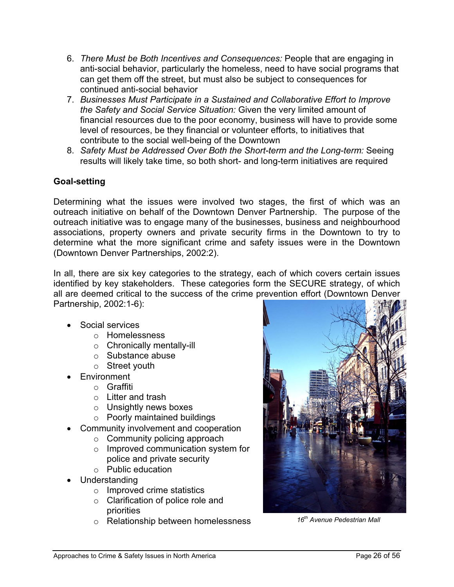- 6. *There Must be Both Incentives and Consequences:* People that are engaging in anti-social behavior, particularly the homeless, need to have social programs that can get them off the street, but must also be subject to consequences for continued anti-social behavior
- 7. *Businesses Must Participate in a Sustained and Collaborative Effort to Improve the Safety and Social Service Situation:* Given the very limited amount of financial resources due to the poor economy, business will have to provide some level of resources, be they financial or volunteer efforts, to initiatives that contribute to the social well-being of the Downtown
- 8. *Safety Must be Addressed Over Both the Short-term and the Long-term:* Seeing results will likely take time, so both short- and long-term initiatives are required

## **Goal-setting**

Determining what the issues were involved two stages, the first of which was an outreach initiative on behalf of the Downtown Denver Partnership. The purpose of the outreach initiative was to engage many of the businesses, business and neighbourhood associations, property owners and private security firms in the Downtown to try to determine what the more significant crime and safety issues were in the Downtown (Downtown Denver Partnerships, 2002:2).

In all, there are six key categories to the strategy, each of which covers certain issues identified by key stakeholders. These categories form the SECURE strategy, of which all are deemed critical to the success of the crime prevention effort (Downtown Denver Partnership, 2002:1-6):

- Social services
	- o Homelessness
	- o Chronically mentally-ill
	- o Substance abuse
	- o Street youth
- **Environment** 
	- o Graffiti
	- o Litter and trash
	- o Unsightly news boxes
	- o Poorly maintained buildings
- Community involvement and cooperation
	- $\circ$  Community policing approach
	- o Improved communication system for police and private security
	- o Public education
- Understanding
	- o Improved crime statistics
	- o Clarification of police role and priorities
	- o Relationship between homelessness *16th Avenue Pedestrian Mall*

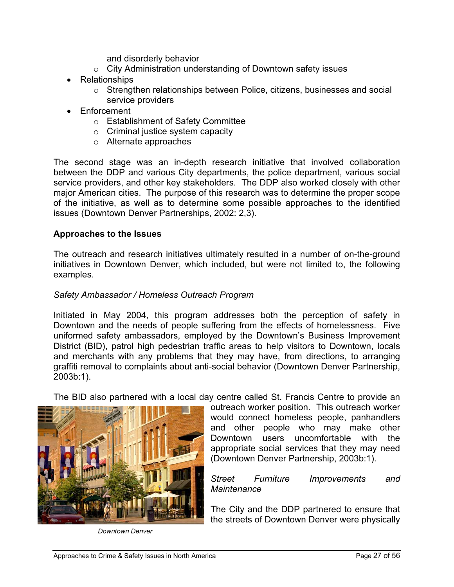and disorderly behavior

- o City Administration understanding of Downtown safety issues
- Relationships
	- o Strengthen relationships between Police, citizens, businesses and social service providers
- **Enforcement** 
	- o Establishment of Safety Committee
	- o Criminal justice system capacity
	- o Alternate approaches

The second stage was an in-depth research initiative that involved collaboration between the DDP and various City departments, the police department, various social service providers, and other key stakeholders. The DDP also worked closely with other major American cities. The purpose of this research was to determine the proper scope of the initiative, as well as to determine some possible approaches to the identified issues (Downtown Denver Partnerships, 2002: 2,3).

## **Approaches to the Issues**

The outreach and research initiatives ultimately resulted in a number of on-the-ground initiatives in Downtown Denver, which included, but were not limited to, the following examples.

## *Safety Ambassador / Homeless Outreach Program*

Initiated in May 2004, this program addresses both the perception of safety in Downtown and the needs of people suffering from the effects of homelessness. Five uniformed safety ambassadors, employed by the Downtown's Business Improvement District (BID), patrol high pedestrian traffic areas to help visitors to Downtown, locals and merchants with any problems that they may have, from directions, to arranging graffiti removal to complaints about anti-social behavior (Downtown Denver Partnership, 2003b:1).

The BID also partnered with a local day centre called St. Francis Centre to provide an



*Downtown Denver* 

outreach worker position. This outreach worker would connect homeless people, panhandlers and other people who may make other Downtown users uncomfortable with the appropriate social services that they may need (Downtown Denver Partnership, 2003b:1).

*Street Furniture Improvements and Maintenance*

The City and the DDP partnered to ensure that the streets of Downtown Denver were physically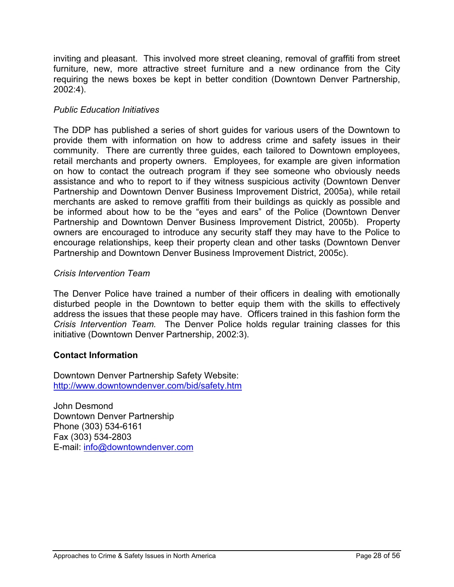inviting and pleasant. This involved more street cleaning, removal of graffiti from street furniture, new, more attractive street furniture and a new ordinance from the City requiring the news boxes be kept in better condition (Downtown Denver Partnership, 2002:4).

## *Public Education Initiatives*

The DDP has published a series of short guides for various users of the Downtown to provide them with information on how to address crime and safety issues in their community. There are currently three guides, each tailored to Downtown employees, retail merchants and property owners. Employees, for example are given information on how to contact the outreach program if they see someone who obviously needs assistance and who to report to if they witness suspicious activity (Downtown Denver Partnership and Downtown Denver Business Improvement District, 2005a), while retail merchants are asked to remove graffiti from their buildings as quickly as possible and be informed about how to be the "eyes and ears" of the Police (Downtown Denver Partnership and Downtown Denver Business Improvement District, 2005b). Property owners are encouraged to introduce any security staff they may have to the Police to encourage relationships, keep their property clean and other tasks (Downtown Denver Partnership and Downtown Denver Business Improvement District, 2005c).

## *Crisis Intervention Team*

The Denver Police have trained a number of their officers in dealing with emotionally disturbed people in the Downtown to better equip them with the skills to effectively address the issues that these people may have. Officers trained in this fashion form the *Crisis Intervention Team.* The Denver Police holds regular training classes for this initiative (Downtown Denver Partnership, 2002:3).

## **Contact Information**

Downtown Denver Partnership Safety Website: http://www.downtowndenver.com/bid/safety.htm

John Desmond Downtown Denver Partnership Phone (303) 534-6161 Fax (303) 534-2803 E-mail: info@downtowndenver.com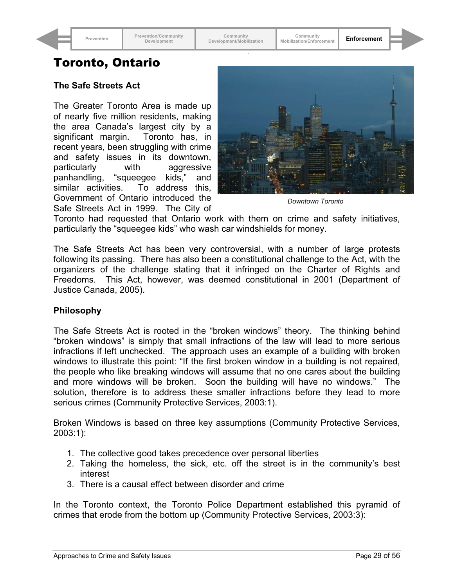**Community** 

## **The Safe Streets Act**

The Greater Toronto Area is made up of nearly five million residents, making the area Canada's largest city by a significant margin. Toronto has, in recent years, been struggling with crime and safety issues in its downtown, particularly with aggressive panhandling, "squeegee kids," and similar activities. To address this, Government of Ontario introduced the Safe Streets Act in 1999. The City of

Toronto had requested that Ontario work with them on crime and safety initiatives,

particularly the "squeegee kids" who wash car windshields for money. The Safe Streets Act has been very controversial, with a number of large protests

following its passing. There has also been a constitutional challenge to the Act, with the organizers of the challenge stating that it infringed on the Charter of Rights and Freedoms. This Act, however, was deemed constitutional in 2001 (Department of Justice Canada, 2005).

## **Philosophy**

The Safe Streets Act is rooted in the "broken windows" theory. The thinking behind "broken windows" is simply that small infractions of the law will lead to more serious infractions if left unchecked. The approach uses an example of a building with broken windows to illustrate this point: "If the first broken window in a building is not repaired, the people who like breaking windows will assume that no one cares about the building and more windows will be broken. Soon the building will have no windows." The solution, therefore is to address these smaller infractions before they lead to more serious crimes (Community Protective Services, 2003:1).

Broken Windows is based on three key assumptions (Community Protective Services, 2003:1):

- 1. The collective good takes precedence over personal liberties
- 2. Taking the homeless, the sick, etc. off the street is in the community's best interest
- 3. There is a causal effect between disorder and crime

In the Toronto context, the Toronto Police Department established this pyramid of crimes that erode from the bottom up (Community Protective Services, 2003:3):



*Downtown Toronto*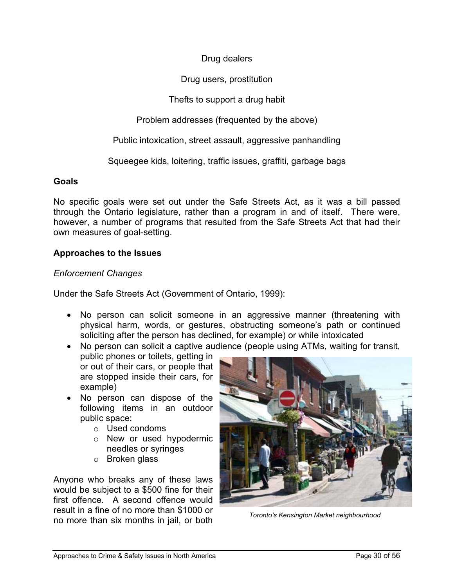Drug dealers

Drug users, prostitution

Thefts to support a drug habit

Problem addresses (frequented by the above)

Public intoxication, street assault, aggressive panhandling

Squeegee kids, loitering, traffic issues, graffiti, garbage bags

## **Goals**

No specific goals were set out under the Safe Streets Act, as it was a bill passed through the Ontario legislature, rather than a program in and of itself. There were, however, a number of programs that resulted from the Safe Streets Act that had their own measures of goal-setting.

## **Approaches to the Issues**

## *Enforcement Changes*

Under the Safe Streets Act (Government of Ontario, 1999):

- No person can solicit someone in an aggressive manner (threatening with physical harm, words, or gestures, obstructing someone's path or continued soliciting after the person has declined, for example) or while intoxicated
- No person can solicit a captive audience (people using ATMs, waiting for transit,
- public phones or toilets, getting in or out of their cars, or people that are stopped inside their cars, for example)
- No person can dispose of the following items in an outdoor public space:
	- o Used condoms
	- o New or used hypodermic needles or syringes
	- o Broken glass

Anyone who breaks any of these laws would be subject to a \$500 fine for their first offence. A second offence would result in a fine of no more than \$1000 or no more than six months in jail, or both *Toronto's Kensington Market neighbourhood* 

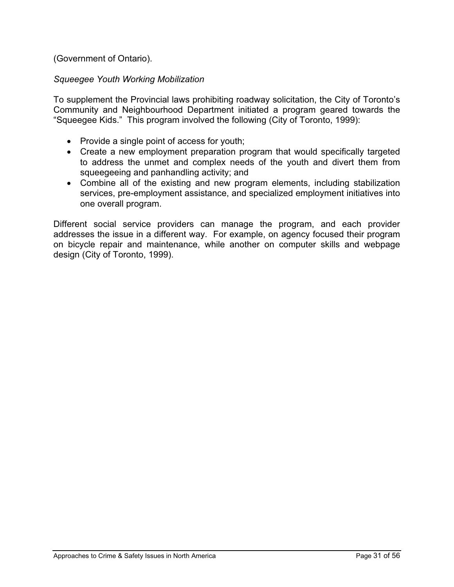## (Government of Ontario).

## *Squeegee Youth Working Mobilization*

To supplement the Provincial laws prohibiting roadway solicitation, the City of Toronto's Community and Neighbourhood Department initiated a program geared towards the "Squeegee Kids." This program involved the following (City of Toronto, 1999):

- $\bullet$  Provide a single point of access for youth;
- Create a new employment preparation program that would specifically targeted to address the unmet and complex needs of the youth and divert them from squeegeeing and panhandling activity; and
- Combine all of the existing and new program elements, including stabilization services, pre-employment assistance, and specialized employment initiatives into one overall program.

Different social service providers can manage the program, and each provider addresses the issue in a different way. For example, on agency focused their program on bicycle repair and maintenance, while another on computer skills and webpage design (City of Toronto, 1999).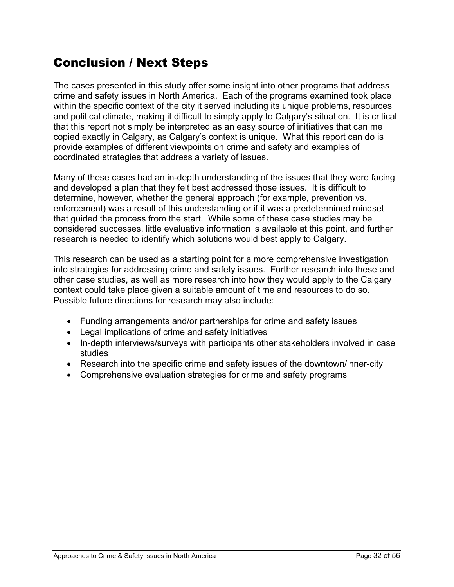# Conclusion / Next Steps

The cases presented in this study offer some insight into other programs that address crime and safety issues in North America. Each of the programs examined took place within the specific context of the city it served including its unique problems, resources and political climate, making it difficult to simply apply to Calgary's situation. It is critical that this report not simply be interpreted as an easy source of initiatives that can me copied exactly in Calgary, as Calgary's context is unique. What this report can do is provide examples of different viewpoints on crime and safety and examples of coordinated strategies that address a variety of issues.

Many of these cases had an in-depth understanding of the issues that they were facing and developed a plan that they felt best addressed those issues. It is difficult to determine, however, whether the general approach (for example, prevention vs. enforcement) was a result of this understanding or if it was a predetermined mindset that guided the process from the start. While some of these case studies may be considered successes, little evaluative information is available at this point, and further research is needed to identify which solutions would best apply to Calgary.

This research can be used as a starting point for a more comprehensive investigation into strategies for addressing crime and safety issues. Further research into these and other case studies, as well as more research into how they would apply to the Calgary context could take place given a suitable amount of time and resources to do so. Possible future directions for research may also include:

- Funding arrangements and/or partnerships for crime and safety issues
- Legal implications of crime and safety initiatives
- In-depth interviews/surveys with participants other stakeholders involved in case studies
- Research into the specific crime and safety issues of the downtown/inner-city
- Comprehensive evaluation strategies for crime and safety programs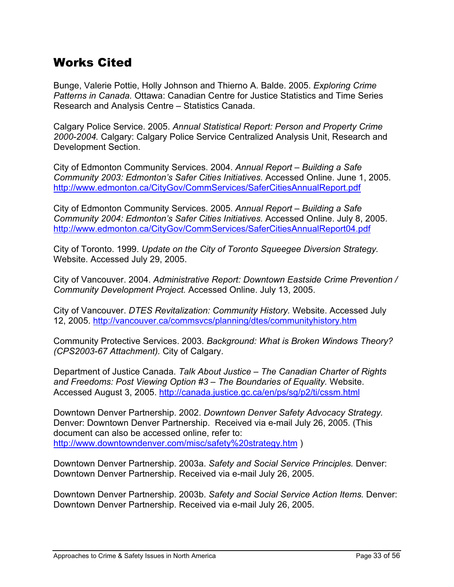## Works Cited

Bunge, Valerie Pottie, Holly Johnson and Thierno A. Balde. 2005. *Exploring Crime Patterns in Canada.* Ottawa: Canadian Centre for Justice Statistics and Time Series Research and Analysis Centre – Statistics Canada.

Calgary Police Service. 2005. *Annual Statistical Report: Person and Property Crime 2000-2004.* Calgary: Calgary Police Service Centralized Analysis Unit, Research and Development Section.

City of Edmonton Community Services. 2004. *Annual Report – Building a Safe Community 2003: Edmonton's Safer Cities Initiatives.* Accessed Online. June 1, 2005. http://www.edmonton.ca/CityGov/CommServices/SaferCitiesAnnualReport.pdf

City of Edmonton Community Services. 2005. *Annual Report – Building a Safe Community 2004: Edmonton's Safer Cities Initiatives.* Accessed Online. July 8, 2005. http://www.edmonton.ca/CityGov/CommServices/SaferCitiesAnnualReport04.pdf

City of Toronto. 1999. *Update on the City of Toronto Squeegee Diversion Strategy.* Website. Accessed July 29, 2005.

City of Vancouver. 2004. *Administrative Report: Downtown Eastside Crime Prevention / Community Development Project.* Accessed Online. July 13, 2005.

City of Vancouver. *DTES Revitalization: Community History.* Website. Accessed July 12, 2005. http://vancouver.ca/commsvcs/planning/dtes/communityhistory.htm

Community Protective Services. 2003. *Background: What is Broken Windows Theory? (CPS2003-67 Attachment).* City of Calgary.

Department of Justice Canada. *Talk About Justice – The Canadian Charter of Rights and Freedoms: Post Viewing Option #3 – The Boundaries of Equality.* Website. Accessed August 3, 2005. http://canada.justice.gc.ca/en/ps/sg/p2/ti/cssm.html

Downtown Denver Partnership. 2002. *Downtown Denver Safety Advocacy Strategy.* Denver: Downtown Denver Partnership. Received via e-mail July 26, 2005. (This document can also be accessed online, refer to: http://www.downtowndenver.com/misc/safety%20strategy.htm )

Downtown Denver Partnership. 2003a. *Safety and Social Service Principles.* Denver: Downtown Denver Partnership. Received via e-mail July 26, 2005.

Downtown Denver Partnership. 2003b. *Safety and Social Service Action Items.* Denver: Downtown Denver Partnership. Received via e-mail July 26, 2005.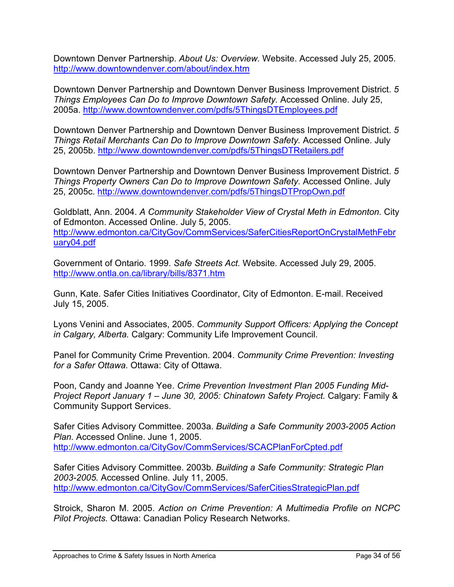Downtown Denver Partnership. *About Us: Overview.* Website. Accessed July 25, 2005. http://www.downtowndenver.com/about/index.htm

Downtown Denver Partnership and Downtown Denver Business Improvement District. *5 Things Employees Can Do to Improve Downtown Safety.* Accessed Online. July 25, 2005a. http://www.downtowndenver.com/pdfs/5ThingsDTEmployees.pdf

Downtown Denver Partnership and Downtown Denver Business Improvement District. *5 Things Retail Merchants Can Do to Improve Downtown Safety.* Accessed Online. July 25, 2005b. http://www.downtowndenver.com/pdfs/5ThingsDTRetailers.pdf

Downtown Denver Partnership and Downtown Denver Business Improvement District. *5 Things Property Owners Can Do to Improve Downtown Safety.* Accessed Online. July 25, 2005c. http://www.downtowndenver.com/pdfs/5ThingsDTPropOwn.pdf

Goldblatt, Ann. 2004. *A Community Stakeholder View of Crystal Meth in Edmonton.* City of Edmonton. Accessed Online. July 5, 2005.

http://www.edmonton.ca/CityGov/CommServices/SaferCitiesReportOnCrystalMethFebr uary04.pdf

Government of Ontario. 1999. *Safe Streets Act.* Website. Accessed July 29, 2005. http://www.ontla.on.ca/library/bills/8371.htm

Gunn, Kate. Safer Cities Initiatives Coordinator, City of Edmonton. E-mail. Received July 15, 2005.

Lyons Venini and Associates, 2005. *Community Support Officers: Applying the Concept in Calgary, Alberta.* Calgary: Community Life Improvement Council.

Panel for Community Crime Prevention. 2004. *Community Crime Prevention: Investing for a Safer Ottawa.* Ottawa: City of Ottawa.

Poon, Candy and Joanne Yee. *Crime Prevention Investment Plan 2005 Funding Mid-Project Report January 1 – June 30, 2005: Chinatown Safety Project.* Calgary: Family & Community Support Services.

Safer Cities Advisory Committee. 2003a. *Building a Safe Community 2003-2005 Action Plan.* Accessed Online. June 1, 2005. http://www.edmonton.ca/CityGov/CommServices/SCACPlanForCpted.pdf

Safer Cities Advisory Committee. 2003b. *Building a Safe Community: Strategic Plan 2003-2005.* Accessed Online. July 11, 2005. http://www.edmonton.ca/CityGov/CommServices/SaferCitiesStrategicPlan.pdf

Stroick, Sharon M. 2005. *Action on Crime Prevention: A Multimedia Profile on NCPC Pilot Projects.* Ottawa: Canadian Policy Research Networks.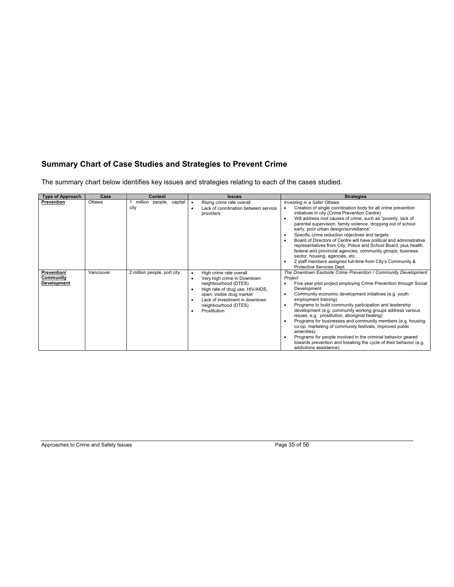## **Summary Chart of Case Studies and Strategies to Prevent Crime**

The summary chart below identifies key issues and strategies relating to each of the cases studied.

| <b>Type of Approach</b>                               | Case      | Context                         | <b>Issues</b>                                                                                                                                                                                                                            | <b>Strategies</b>                                                                                                                                                                                                                                                                                                                                                                                                                                                                                                                                                                                                                                                                                                                   |
|-------------------------------------------------------|-----------|---------------------------------|------------------------------------------------------------------------------------------------------------------------------------------------------------------------------------------------------------------------------------------|-------------------------------------------------------------------------------------------------------------------------------------------------------------------------------------------------------------------------------------------------------------------------------------------------------------------------------------------------------------------------------------------------------------------------------------------------------------------------------------------------------------------------------------------------------------------------------------------------------------------------------------------------------------------------------------------------------------------------------------|
| Prevention                                            | Ottawa    | million people, capital<br>city | Rising crime rate overall<br>$\bullet$<br>Lack of coordination between service<br>providers                                                                                                                                              | Investing in a Safer Ottawa<br>Creation of single coordination body for all crime prevention<br>initiatives in city (Crime Prevention Centre)<br>Will address root causes of crime, such as "poverty, lack of<br>parental supervision, family violence, dropping out of school<br>early, poor urban design/surveillance"<br>Specific crime reduction objectives and targets<br>Board of Directors of Centre will have political and administrative<br>representatives from City, Police and School Board, plus health,<br>federal and provincial agencies, community groups, business<br>sector, housing, agencies, etc.<br>2 staff members assigned full-time from City's Community &<br>Protective Services Dept.                 |
| <b>Prevention/</b><br>Community<br><b>Development</b> | Vancouver | 2 million people, port city     | High crime rate overall<br>٠<br>Very high crime in Downtown<br>neighbourhood (DTES)<br>High rate of drug use, HIV/AIDS,<br>open, visible drug market<br>Lack of investment in downtown<br>٠<br>neighbourhood (DTES)<br>Prostitution<br>٠ | The Downtown Eastside Crime Prevention / Community Development<br>Project<br>Five year pilot project employing Crime Prevention through Social<br>Development<br>Community economic development initiatives (e.g. youth<br>employment training)<br>Programs to build community participation and leadership<br>development (e.g. community working groups address various<br>issues, e.g. prostitution, aboriginal healing)<br>Programs for businesses and community members (e.g. housing<br>co-op, marketing of community festivals, improved public<br>amenities)<br>Programs for people involved in the criminal behavior geared<br>towards prevention and breaking the cycle of their behavior (e.g.<br>addictions assistance) |

Approaches to Crime and Safety Issues **Page 35 of 56** Page 35 of 56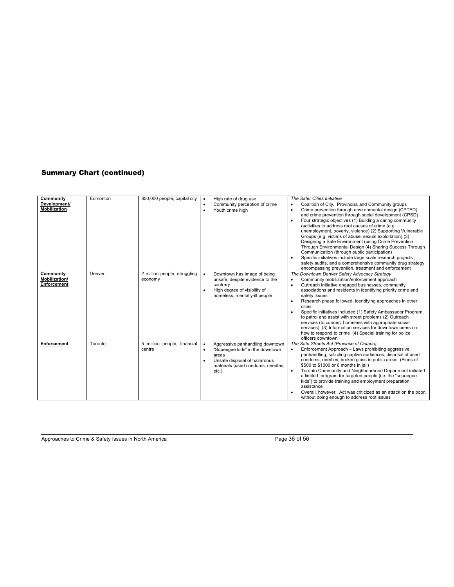#### Summary Chart (continued)

| Community<br><b>Development/</b><br><b>Mobilization</b> | Edmonton | 850,000 people, capital city            | $\bullet$<br>$\bullet$<br>٠ | High rate of drug use<br>Community perception of crime<br>Youth crime high                                                                                   | $\bullet$              | The Safer Cities Initiative<br>Coalition of City, Provincial, and Community groups<br>Crime prevention through environmental design (CPTED)<br>and crime prevention through social development (CPSD)<br>Four strategic objectives (1) Building a caring community<br>(activities to address root causes of crime (e.g.<br>unemployment, poverty, violence) (2) Supporting Vulnerable<br>Groups (e.g. victims of abuse, sexual exploitation) (3)<br>Designing a Safe Environment (using Crime Prevention<br>Through Environmental Design (4) Sharing Success Through<br>Communication (through public participation)<br>Specific initiatives include large scale research projects,<br>safety audits, and a comprehensive community drug strategy<br>encompassing prevention, treatment and enforcement |
|---------------------------------------------------------|----------|-----------------------------------------|-----------------------------|--------------------------------------------------------------------------------------------------------------------------------------------------------------|------------------------|---------------------------------------------------------------------------------------------------------------------------------------------------------------------------------------------------------------------------------------------------------------------------------------------------------------------------------------------------------------------------------------------------------------------------------------------------------------------------------------------------------------------------------------------------------------------------------------------------------------------------------------------------------------------------------------------------------------------------------------------------------------------------------------------------------|
| Community<br><b>Mobilization/</b><br>Enforcement        | Denver   | 2 million people, struggling<br>economy | $\bullet$                   | Downtown has image of being<br>unsafe, despite evidence to the<br>contrary<br>High degree of visibility of<br>homeless, mentally-ill people                  | $\bullet$<br>$\bullet$ | The Downtown Denver Safety Advocacy Strategy<br>Community mobilization/enforcement approach<br>Outreach initiative engaged businesses, community<br>associations and residents in identifying priority crime and<br>safety issues<br>Research phase followed, identifying approaches in other<br>cities<br>Specific initiatives included (1) Safety Ambassador Program,<br>to patrol and assist with street problems (2) Outreach<br>services (to connect homeless with appropriate social<br>services), (3) Information services for downtown users on<br>how to respond to crime (4) Special training for police<br>officers downtown                                                                                                                                                                 |
| Enforcement                                             | Toronto  | 5 million people, financial<br>centre   | $\bullet$<br>٠<br>٠         | Aggressive panhandling downtown<br>"Squeegee kids" in the downtown<br>areas<br>Unsafe disposal of hazardous<br>materials (used condoms, needles,<br>$etc.$ ) | $\bullet$              | The Safe Streets Act (Province of Ontario)<br>Enforcement Approach - Laws prohibiting aggressive<br>panhandling, soliciting captive audiences, disposal of used<br>condoms, needles, broken glass in public areas (Fines of<br>\$500 to \$1000 or 6 months in jail)<br>Toronto Community and Neighbourhood Department initiated<br>a limited program for targeted people (i.e. the "squeegee"<br>kids") to provide training and employment preparation<br>assistance<br>Overall, however, Act was criticized as an attack on the poor,<br>without doing enough to address root issues                                                                                                                                                                                                                   |

Approaches to Crime & Safety Issues in North America **Page 1986** of 56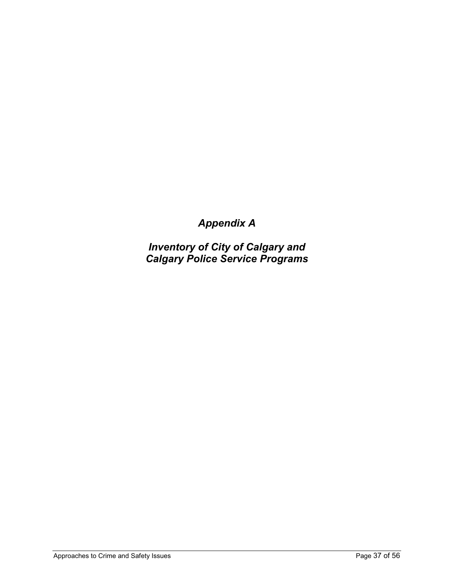*Appendix A* 

*Inventory of City of Calgary and Calgary Police Service Programs*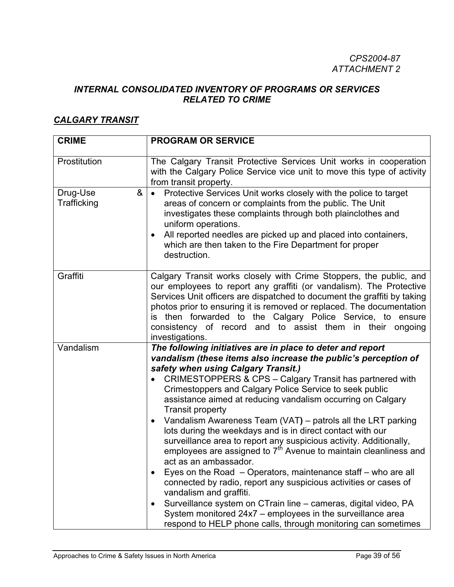## *INTERNAL CONSOLIDATED INVENTORY OF PROGRAMS OR SERVICES RELATED TO CRIME*

## *CALGARY TRANSIT*

| <b>CRIME</b>                 | <b>PROGRAM OR SERVICE</b>                                                                                                                                                                                                                                                                                                                                                                                                                                                                                                                                                                                                                                                                                                                                                                                                                                                                                                                                                                                                                                      |
|------------------------------|----------------------------------------------------------------------------------------------------------------------------------------------------------------------------------------------------------------------------------------------------------------------------------------------------------------------------------------------------------------------------------------------------------------------------------------------------------------------------------------------------------------------------------------------------------------------------------------------------------------------------------------------------------------------------------------------------------------------------------------------------------------------------------------------------------------------------------------------------------------------------------------------------------------------------------------------------------------------------------------------------------------------------------------------------------------|
| Prostitution                 | The Calgary Transit Protective Services Unit works in cooperation<br>with the Calgary Police Service vice unit to move this type of activity<br>from transit property.                                                                                                                                                                                                                                                                                                                                                                                                                                                                                                                                                                                                                                                                                                                                                                                                                                                                                         |
| Drug-Use<br>&<br>Trafficking | Protective Services Unit works closely with the police to target<br>areas of concern or complaints from the public. The Unit<br>investigates these complaints through both plainclothes and<br>uniform operations.<br>All reported needles are picked up and placed into containers,<br>which are then taken to the Fire Department for proper<br>destruction.                                                                                                                                                                                                                                                                                                                                                                                                                                                                                                                                                                                                                                                                                                 |
| Graffiti                     | Calgary Transit works closely with Crime Stoppers, the public, and<br>our employees to report any graffiti (or vandalism). The Protective<br>Services Unit officers are dispatched to document the graffiti by taking<br>photos prior to ensuring it is removed or replaced. The documentation<br>is then forwarded to the Calgary Police Service, to ensure<br>consistency of record and to assist them in their ongoing<br>investigations.                                                                                                                                                                                                                                                                                                                                                                                                                                                                                                                                                                                                                   |
| Vandalism                    | The following initiatives are in place to deter and report<br>vandalism (these items also increase the public's perception of<br>safety when using Calgary Transit.)<br>CRIMESTOPPERS & CPS - Calgary Transit has partnered with<br>Crimestoppers and Calgary Police Service to seek public<br>assistance aimed at reducing vandalism occurring on Calgary<br><b>Transit property</b><br>Vandalism Awareness Team (VAT) - patrols all the LRT parking<br>lots during the weekdays and is in direct contact with our<br>surveillance area to report any suspicious activity. Additionally,<br>employees are assigned to $7th$ Avenue to maintain cleanliness and<br>act as an ambassador.<br>Eyes on the Road $-$ Operators, maintenance staff $-$ who are all<br>connected by radio, report any suspicious activities or cases of<br>vandalism and graffiti.<br>Surveillance system on CTrain line - cameras, digital video, PA<br>System monitored 24x7 – employees in the surveillance area<br>respond to HELP phone calls, through monitoring can sometimes |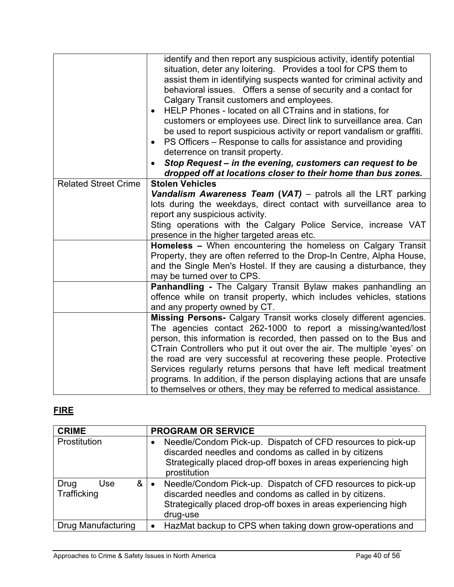|                             | identify and then report any suspicious activity, identify potential<br>situation, deter any loitering. Provides a tool for CPS them to<br>assist them in identifying suspects wanted for criminal activity and<br>behavioral issues. Offers a sense of security and a contact for<br>Calgary Transit customers and employees.<br>HELP Phones - located on all CTrains and in stations, for<br>$\bullet$<br>customers or employees use. Direct link to surveillance area. Can<br>be used to report suspicious activity or report vandalism or graffiti.<br>PS Officers – Response to calls for assistance and providing<br>$\bullet$<br>deterrence on transit property.<br>Stop Request - in the evening, customers can request to be<br>dropped off at locations closer to their home than bus zones. |
|-----------------------------|--------------------------------------------------------------------------------------------------------------------------------------------------------------------------------------------------------------------------------------------------------------------------------------------------------------------------------------------------------------------------------------------------------------------------------------------------------------------------------------------------------------------------------------------------------------------------------------------------------------------------------------------------------------------------------------------------------------------------------------------------------------------------------------------------------|
| <b>Related Street Crime</b> | <b>Stolen Vehicles</b>                                                                                                                                                                                                                                                                                                                                                                                                                                                                                                                                                                                                                                                                                                                                                                                 |
|                             | <b>Vandalism Awareness Team (VAT)</b> – patrols all the LRT parking                                                                                                                                                                                                                                                                                                                                                                                                                                                                                                                                                                                                                                                                                                                                    |
|                             | lots during the weekdays, direct contact with surveillance area to                                                                                                                                                                                                                                                                                                                                                                                                                                                                                                                                                                                                                                                                                                                                     |
|                             | report any suspicious activity.                                                                                                                                                                                                                                                                                                                                                                                                                                                                                                                                                                                                                                                                                                                                                                        |
|                             | Sting operations with the Calgary Police Service, increase VAT                                                                                                                                                                                                                                                                                                                                                                                                                                                                                                                                                                                                                                                                                                                                         |
|                             | presence in the higher targeted areas etc.                                                                                                                                                                                                                                                                                                                                                                                                                                                                                                                                                                                                                                                                                                                                                             |
|                             | Homeless - When encountering the homeless on Calgary Transit<br>Property, they are often referred to the Drop-In Centre, Alpha House,<br>and the Single Men's Hostel. If they are causing a disturbance, they<br>may be turned over to CPS.                                                                                                                                                                                                                                                                                                                                                                                                                                                                                                                                                            |
|                             | Panhandling - The Calgary Transit Bylaw makes panhandling an<br>offence while on transit property, which includes vehicles, stations<br>and any property owned by CT.                                                                                                                                                                                                                                                                                                                                                                                                                                                                                                                                                                                                                                  |
|                             | Missing Persons- Calgary Transit works closely different agencies.<br>The agencies contact 262-1000 to report a missing/wanted/lost<br>person, this information is recorded, then passed on to the Bus and<br>CTrain Controllers who put it out over the air. The multiple 'eyes' on<br>the road are very successful at recovering these people. Protective<br>Services regularly returns persons that have left medical treatment<br>programs. In addition, if the person displaying actions that are unsafe<br>to themselves or others, they may be referred to medical assistance.                                                                                                                                                                                                                  |

## **FIRE**

| <b>CRIME</b>                    | <b>PROGRAM OR SERVICE</b>                                                                                                                                                                               |
|---------------------------------|---------------------------------------------------------------------------------------------------------------------------------------------------------------------------------------------------------|
| Prostitution                    | Needle/Condom Pick-up. Dispatch of CFD resources to pick-up<br>discarded needles and condoms as called in by citizens<br>Strategically placed drop-off boxes in areas experiencing high<br>prostitution |
| &<br>Drug<br>Use<br>Trafficking | Needle/Condom Pick-up. Dispatch of CFD resources to pick-up<br>discarded needles and condoms as called in by citizens.<br>Strategically placed drop-off boxes in areas experiencing high<br>drug-use    |
| <b>Drug Manufacturing</b>       | HazMat backup to CPS when taking down grow-operations and                                                                                                                                               |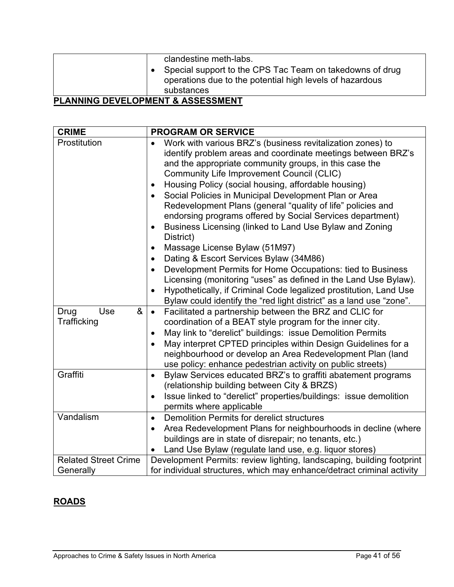|                                              | clandestine meth-labs.<br>Special support to the CPS Tac Team on takedowns of drug<br>operations due to the potential high levels of hazardous<br>substances |
|----------------------------------------------|--------------------------------------------------------------------------------------------------------------------------------------------------------------|
| <b>PLANNING DEVELOPMENT &amp; ASSESSMENT</b> |                                                                                                                                                              |

| <b>CRIME</b>                    | <b>PROGRAM OR SERVICE</b>                                                                                                                                                                                                                                                                                                                                      |
|---------------------------------|----------------------------------------------------------------------------------------------------------------------------------------------------------------------------------------------------------------------------------------------------------------------------------------------------------------------------------------------------------------|
| Prostitution                    | Work with various BRZ's (business revitalization zones) to<br>identify problem areas and coordinate meetings between BRZ's<br>and the appropriate community groups, in this case the<br>Community Life Improvement Council (CLIC)<br>Housing Policy (social housing, affordable housing)<br>$\bullet$<br>Social Policies in Municipal Development Plan or Area |
|                                 | Redevelopment Plans (general "quality of life" policies and<br>endorsing programs offered by Social Services department)<br>Business Licensing (linked to Land Use Bylaw and Zoning<br>$\bullet$<br>District)                                                                                                                                                  |
|                                 | Massage License Bylaw (51M97)<br>$\bullet$                                                                                                                                                                                                                                                                                                                     |
|                                 | Dating & Escort Services Bylaw (34M86)<br>$\bullet$                                                                                                                                                                                                                                                                                                            |
|                                 | Development Permits for Home Occupations: tied to Business<br>$\bullet$<br>Licensing (monitoring "uses" as defined in the Land Use Bylaw).<br>Hypothetically, if Criminal Code legalized prostitution, Land Use<br>Bylaw could identify the "red light district" as a land use "zone".                                                                         |
| Drug<br>Use<br>&<br>Trafficking | Facilitated a partnership between the BRZ and CLIC for<br>$\bullet$<br>coordination of a BEAT style program for the inner city.                                                                                                                                                                                                                                |
|                                 | May link to "derelict" buildings: issue Demolition Permits<br>$\bullet$<br>May interpret CPTED principles within Design Guidelines for a<br>$\bullet$<br>neighbourhood or develop an Area Redevelopment Plan (land<br>use policy: enhance pedestrian activity on public streets)                                                                               |
| Graffiti                        | Bylaw Services educated BRZ's to graffiti abatement programs<br>$\bullet$<br>(relationship building between City & BRZS)                                                                                                                                                                                                                                       |
|                                 | Issue linked to "derelict" properties/buildings: issue demolition<br>$\bullet$<br>permits where applicable                                                                                                                                                                                                                                                     |
| Vandalism                       | <b>Demolition Permits for derelict structures</b><br>$\bullet$                                                                                                                                                                                                                                                                                                 |
|                                 | Area Redevelopment Plans for neighbourhoods in decline (where<br>$\bullet$                                                                                                                                                                                                                                                                                     |
|                                 | buildings are in state of disrepair; no tenants, etc.)                                                                                                                                                                                                                                                                                                         |
| <b>Related Street Crime</b>     | Land Use Bylaw (regulate land use, e.g. liquor stores)<br>Development Permits: review lighting, landscaping, building footprint                                                                                                                                                                                                                                |
| Generally                       | for individual structures, which may enhance/detract criminal activity                                                                                                                                                                                                                                                                                         |
|                                 |                                                                                                                                                                                                                                                                                                                                                                |

## **ROADS**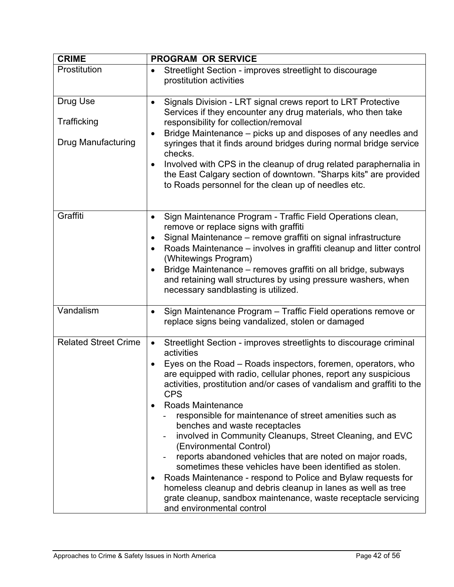| <b>CRIME</b>                | <b>PROGRAM OR SERVICE</b>                                                                                                                                                                                                                                                                                                                                                                                                                                                                                                                                                                                                                                                                                                                                                                                                                                                                                                         |
|-----------------------------|-----------------------------------------------------------------------------------------------------------------------------------------------------------------------------------------------------------------------------------------------------------------------------------------------------------------------------------------------------------------------------------------------------------------------------------------------------------------------------------------------------------------------------------------------------------------------------------------------------------------------------------------------------------------------------------------------------------------------------------------------------------------------------------------------------------------------------------------------------------------------------------------------------------------------------------|
| Prostitution                | Streetlight Section - improves streetlight to discourage<br>prostitution activities                                                                                                                                                                                                                                                                                                                                                                                                                                                                                                                                                                                                                                                                                                                                                                                                                                               |
| Drug Use<br>Trafficking     | Signals Division - LRT signal crews report to LRT Protective<br>$\bullet$<br>Services if they encounter any drug materials, who then take<br>responsibility for collection/removal                                                                                                                                                                                                                                                                                                                                                                                                                                                                                                                                                                                                                                                                                                                                                |
| Drug Manufacturing          | Bridge Maintenance – picks up and disposes of any needles and<br>$\bullet$<br>syringes that it finds around bridges during normal bridge service<br>checks.<br>Involved with CPS in the cleanup of drug related paraphernalia in<br>$\bullet$<br>the East Calgary section of downtown. "Sharps kits" are provided<br>to Roads personnel for the clean up of needles etc.                                                                                                                                                                                                                                                                                                                                                                                                                                                                                                                                                          |
| Graffiti                    | Sign Maintenance Program - Traffic Field Operations clean,<br>$\bullet$<br>remove or replace signs with graffiti<br>Signal Maintenance – remove graffiti on signal infrastructure<br>$\bullet$<br>Roads Maintenance - involves in graffiti cleanup and litter control<br>$\bullet$<br>(Whitewings Program)<br>Bridge Maintenance - removes graffiti on all bridge, subways<br>$\bullet$<br>and retaining wall structures by using pressure washers, when<br>necessary sandblasting is utilized.                                                                                                                                                                                                                                                                                                                                                                                                                                   |
| Vandalism                   | Sign Maintenance Program - Traffic Field operations remove or<br>$\bullet$<br>replace signs being vandalized, stolen or damaged                                                                                                                                                                                                                                                                                                                                                                                                                                                                                                                                                                                                                                                                                                                                                                                                   |
| <b>Related Street Crime</b> | Streetlight Section - improves streetlights to discourage criminal<br>$\bullet$<br>activities<br>Eyes on the Road - Roads inspectors, foremen, operators, who<br>are equipped with radio, cellular phones, report any suspicious<br>activities, prostitution and/or cases of vandalism and graffiti to the<br><b>CPS</b><br>Roads Maintenance<br>responsible for maintenance of street amenities such as<br>benches and waste receptacles<br>involved in Community Cleanups, Street Cleaning, and EVC<br>$\overline{\phantom{0}}$<br>(Environmental Control)<br>reports abandoned vehicles that are noted on major roads,<br>sometimes these vehicles have been identified as stolen.<br>Roads Maintenance - respond to Police and Bylaw requests for<br>$\bullet$<br>homeless cleanup and debris cleanup in lanes as well as tree<br>grate cleanup, sandbox maintenance, waste receptacle servicing<br>and environmental control |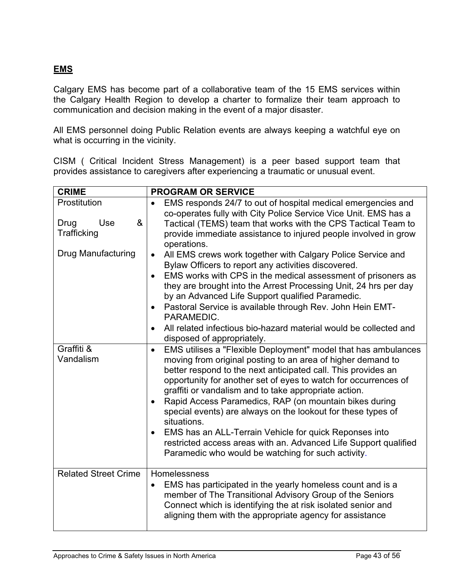## **EMS**

Calgary EMS has become part of a collaborative team of the 15 EMS services within the Calgary Health Region to develop a charter to formalize their team approach to communication and decision making in the event of a major disaster.

All EMS personnel doing Public Relation events are always keeping a watchful eye on what is occurring in the vicinity.

CISM ( Critical Incident Stress Management) is a peer based support team that provides assistance to caregivers after experiencing a traumatic or unusual event.

| <b>CRIME</b>                    | <b>PROGRAM OR SERVICE</b>                                                                                                                                                                                                                                                                                                               |
|---------------------------------|-----------------------------------------------------------------------------------------------------------------------------------------------------------------------------------------------------------------------------------------------------------------------------------------------------------------------------------------|
| Prostitution                    | EMS responds 24/7 to out of hospital medical emergencies and<br>co-operates fully with City Police Service Vice Unit. EMS has a                                                                                                                                                                                                         |
| &<br>Use<br>Drug<br>Trafficking | Tactical (TEMS) team that works with the CPS Tactical Team to<br>provide immediate assistance to injured people involved in grow                                                                                                                                                                                                        |
|                                 | operations.                                                                                                                                                                                                                                                                                                                             |
| <b>Drug Manufacturing</b>       | All EMS crews work together with Calgary Police Service and<br>Bylaw Officers to report any activities discovered.                                                                                                                                                                                                                      |
|                                 | EMS works with CPS in the medical assessment of prisoners as<br>$\bullet$<br>they are brought into the Arrest Processing Unit, 24 hrs per day<br>by an Advanced Life Support qualified Paramedic.                                                                                                                                       |
|                                 | Pastoral Service is available through Rev. John Hein EMT-<br>$\bullet$<br>PARAMEDIC.                                                                                                                                                                                                                                                    |
|                                 | All related infectious bio-hazard material would be collected and<br>disposed of appropriately.                                                                                                                                                                                                                                         |
| Graffiti &<br>Vandalism         | EMS utilises a "Flexible Deployment" model that has ambulances<br>$\bullet$<br>moving from original posting to an area of higher demand to<br>better respond to the next anticipated call. This provides an<br>opportunity for another set of eyes to watch for occurrences of<br>graffiti or vandalism and to take appropriate action. |
|                                 | Rapid Access Paramedics, RAP (on mountain bikes during<br>special events) are always on the lookout for these types of<br>situations.                                                                                                                                                                                                   |
|                                 | EMS has an ALL-Terrain Vehicle for quick Reponses into<br>$\bullet$<br>restricted access areas with an. Advanced Life Support qualified<br>Paramedic who would be watching for such activity.                                                                                                                                           |
| <b>Related Street Crime</b>     | Homelessness                                                                                                                                                                                                                                                                                                                            |
|                                 | EMS has participated in the yearly homeless count and is a<br>member of The Transitional Advisory Group of the Seniors<br>Connect which is identifying the at risk isolated senior and<br>aligning them with the appropriate agency for assistance                                                                                      |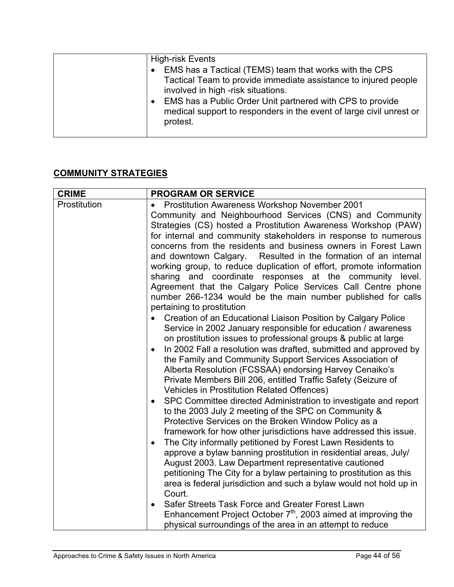| <b>High-risk Events</b>                                                                                                                                                                                                                                                                                                      |
|------------------------------------------------------------------------------------------------------------------------------------------------------------------------------------------------------------------------------------------------------------------------------------------------------------------------------|
| EMS has a Tactical (TEMS) team that works with the CPS<br>$\bullet$<br>Tactical Team to provide immediate assistance to injured people<br>involved in high -risk situations.<br>EMS has a Public Order Unit partnered with CPS to provide<br>medical support to responders in the event of large civil unrest or<br>protest. |

## **COMMUNITY STRATEGIES**

| <b>CRIME</b> | <b>PROGRAM OR SERVICE</b>                                                                                                                                                                                                                                                                                                                                                                                                                                                                                                                                                                                                                                                                                                                                                                                                                                                                                                                                                                                                                                                                                                                                                                                                                                                                                                                     |
|--------------|-----------------------------------------------------------------------------------------------------------------------------------------------------------------------------------------------------------------------------------------------------------------------------------------------------------------------------------------------------------------------------------------------------------------------------------------------------------------------------------------------------------------------------------------------------------------------------------------------------------------------------------------------------------------------------------------------------------------------------------------------------------------------------------------------------------------------------------------------------------------------------------------------------------------------------------------------------------------------------------------------------------------------------------------------------------------------------------------------------------------------------------------------------------------------------------------------------------------------------------------------------------------------------------------------------------------------------------------------|
| Prostitution | Prostitution Awareness Workshop November 2001<br>Community and Neighbourhood Services (CNS) and Community<br>Strategies (CS) hosted a Prostitution Awareness Workshop (PAW)<br>for internal and community stakeholders in response to numerous<br>concerns from the residents and business owners in Forest Lawn<br>and downtown Calgary. Resulted in the formation of an internal<br>working group, to reduce duplication of effort, promote information<br>sharing and coordinate responses at the community level.<br>Agreement that the Calgary Police Services Call Centre phone<br>number 266-1234 would be the main number published for calls<br>pertaining to prostitution                                                                                                                                                                                                                                                                                                                                                                                                                                                                                                                                                                                                                                                           |
|              | Creation of an Educational Liaison Position by Calgary Police<br>Service in 2002 January responsible for education / awareness<br>on prostitution issues to professional groups & public at large<br>In 2002 Fall a resolution was drafted, submitted and approved by<br>$\bullet$<br>the Family and Community Support Services Association of<br>Alberta Resolution (FCSSAA) endorsing Harvey Cenaiko's<br>Private Members Bill 206, entitled Traffic Safety (Seizure of<br>Vehicles in Prostitution Related Offences)<br>SPC Committee directed Administration to investigate and report<br>$\bullet$<br>to the 2003 July 2 meeting of the SPC on Community &<br>Protective Services on the Broken Window Policy as a<br>framework for how other jurisdictions have addressed this issue.<br>The City informally petitioned by Forest Lawn Residents to<br>$\bullet$<br>approve a bylaw banning prostitution in residential areas, July/<br>August 2003. Law Department representative cautioned<br>petitioning The City for a bylaw pertaining to prostitution as this<br>area is federal jurisdiction and such a bylaw would not hold up in<br>Court.<br>Safer Streets Task Force and Greater Forest Lawn<br>Enhancement Project October $7th$ , 2003 aimed at improving the<br>physical surroundings of the area in an attempt to reduce |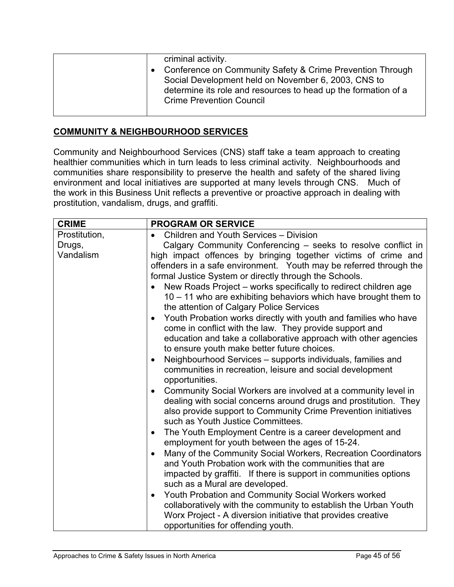|  | criminal activity.<br>Conference on Community Safety & Crime Prevention Through<br>Social Development held on November 6, 2003, CNS to<br>determine its role and resources to head up the formation of a<br><b>Crime Prevention Council</b> |
|--|---------------------------------------------------------------------------------------------------------------------------------------------------------------------------------------------------------------------------------------------|
|--|---------------------------------------------------------------------------------------------------------------------------------------------------------------------------------------------------------------------------------------------|

## **COMMUNITY & NEIGHBOURHOOD SERVICES**

Community and Neighbourhood Services (CNS) staff take a team approach to creating healthier communities which in turn leads to less criminal activity. Neighbourhoods and communities share responsibility to preserve the health and safety of the shared living environment and local initiatives are supported at many levels through CNS. Much of the work in this Business Unit reflects a preventive or proactive approach in dealing with prostitution, vandalism, drugs, and graffiti.

| <b>CRIME</b>  | <b>PROGRAM OR SERVICE</b>                                                                                                                                               |
|---------------|-------------------------------------------------------------------------------------------------------------------------------------------------------------------------|
| Prostitution, | Children and Youth Services - Division                                                                                                                                  |
| Drugs,        | Calgary Community Conferencing - seeks to resolve conflict in                                                                                                           |
| Vandalism     | high impact offences by bringing together victims of crime and                                                                                                          |
|               | offenders in a safe environment. Youth may be referred through the                                                                                                      |
|               | formal Justice System or directly through the Schools.                                                                                                                  |
|               | New Roads Project - works specifically to redirect children age                                                                                                         |
|               | 10 - 11 who are exhibiting behaviors which have brought them to<br>the attention of Calgary Police Services                                                             |
|               | Youth Probation works directly with youth and families who have<br>$\bullet$<br>come in conflict with the law. They provide support and                                 |
|               | education and take a collaborative approach with other agencies                                                                                                         |
|               | to ensure youth make better future choices.                                                                                                                             |
|               | Neighbourhood Services - supports individuals, families and<br>$\bullet$                                                                                                |
|               | communities in recreation, leisure and social development<br>opportunities.                                                                                             |
|               | Community Social Workers are involved at a community level in                                                                                                           |
|               | dealing with social concerns around drugs and prostitution. They<br>also provide support to Community Crime Prevention initiatives<br>such as Youth Justice Committees. |
|               | The Youth Employment Centre is a career development and<br>$\bullet$                                                                                                    |
|               | employment for youth between the ages of 15-24.                                                                                                                         |
|               | Many of the Community Social Workers, Recreation Coordinators<br>$\bullet$                                                                                              |
|               | and Youth Probation work with the communities that are                                                                                                                  |
|               | impacted by graffiti. If there is support in communities options                                                                                                        |
|               | such as a Mural are developed.                                                                                                                                          |
|               | Youth Probation and Community Social Workers worked<br>$\bullet$                                                                                                        |
|               | collaboratively with the community to establish the Urban Youth                                                                                                         |
|               | Worx Project - A diversion initiative that provides creative<br>opportunities for offending youth.                                                                      |
|               |                                                                                                                                                                         |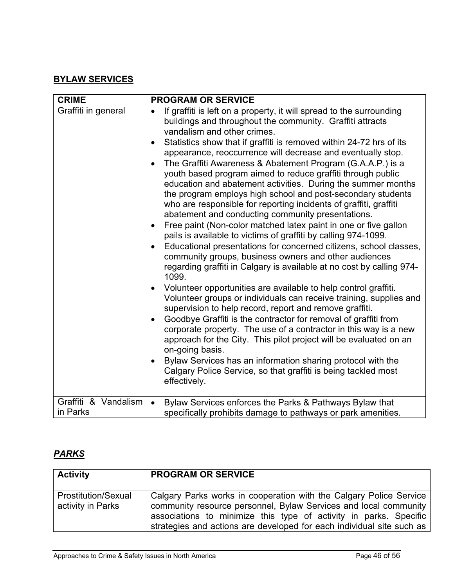## **BYLAW SERVICES**

| <b>CRIME</b>                     | <b>PROGRAM OR SERVICE</b>                                                                                                                                                                                                                                                                                                                                                                                                                                                                                                                                                                                                                                                                                                                                                                                                                                                                                                                                                                                                                                                                                                                                                                                                                                                                                                                                                                                                                                                                                                                                                                                                                                                                                                        |
|----------------------------------|----------------------------------------------------------------------------------------------------------------------------------------------------------------------------------------------------------------------------------------------------------------------------------------------------------------------------------------------------------------------------------------------------------------------------------------------------------------------------------------------------------------------------------------------------------------------------------------------------------------------------------------------------------------------------------------------------------------------------------------------------------------------------------------------------------------------------------------------------------------------------------------------------------------------------------------------------------------------------------------------------------------------------------------------------------------------------------------------------------------------------------------------------------------------------------------------------------------------------------------------------------------------------------------------------------------------------------------------------------------------------------------------------------------------------------------------------------------------------------------------------------------------------------------------------------------------------------------------------------------------------------------------------------------------------------------------------------------------------------|
| Graffiti in general              | If graffiti is left on a property, it will spread to the surrounding<br>$\bullet$<br>buildings and throughout the community. Graffiti attracts<br>vandalism and other crimes.<br>Statistics show that if graffiti is removed within 24-72 hrs of its<br>$\bullet$<br>appearance, reoccurrence will decrease and eventually stop.<br>The Graffiti Awareness & Abatement Program (G.A.A.P.) is a<br>$\bullet$<br>youth based program aimed to reduce graffiti through public<br>education and abatement activities. During the summer months<br>the program employs high school and post-secondary students<br>who are responsible for reporting incidents of graffiti, graffiti<br>abatement and conducting community presentations.<br>Free paint (Non-color matched latex paint in one or five gallon<br>$\bullet$<br>pails is available to victims of graffiti by calling 974-1099.<br>Educational presentations for concerned citizens, school classes,<br>$\bullet$<br>community groups, business owners and other audiences<br>regarding graffiti in Calgary is available at no cost by calling 974-<br>1099.<br>Volunteer opportunities are available to help control graffiti.<br>Volunteer groups or individuals can receive training, supplies and<br>supervision to help record, report and remove graffiti.<br>Goodbye Graffiti is the contractor for removal of graffiti from<br>$\bullet$<br>corporate property. The use of a contractor in this way is a new<br>approach for the City. This pilot project will be evaluated on an<br>on-going basis.<br>Bylaw Services has an information sharing protocol with the<br>$\bullet$<br>Calgary Police Service, so that graffiti is being tackled most<br>effectively. |
| Graffiti & Vandalism<br>in Parks | Bylaw Services enforces the Parks & Pathways Bylaw that<br>$\bullet$<br>specifically prohibits damage to pathways or park amenities.                                                                                                                                                                                                                                                                                                                                                                                                                                                                                                                                                                                                                                                                                                                                                                                                                                                                                                                                                                                                                                                                                                                                                                                                                                                                                                                                                                                                                                                                                                                                                                                             |

## *PARKS*

| <b>Activity</b>                                 | <b>PROGRAM OR SERVICE</b>                                                                                                                                                                                                                                                            |
|-------------------------------------------------|--------------------------------------------------------------------------------------------------------------------------------------------------------------------------------------------------------------------------------------------------------------------------------------|
| <b>Prostitution/Sexual</b><br>activity in Parks | Calgary Parks works in cooperation with the Calgary Police Service<br>community resource personnel, Bylaw Services and local community<br>associations to minimize this type of activity in parks. Specific<br>strategies and actions are developed for each individual site such as |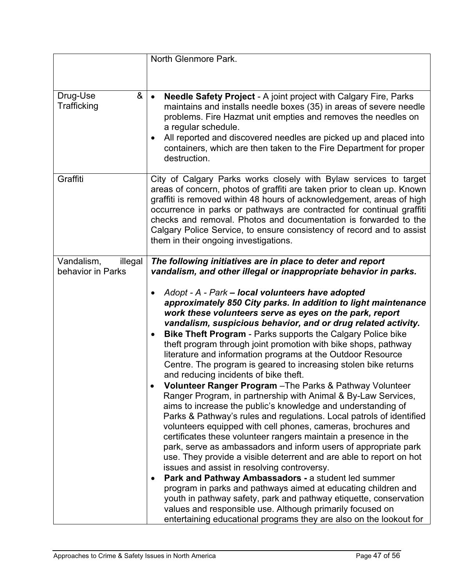|                                            | North Glenmore Park.                                                                                                                                                                                                                                                                                                                                                                                                                                                                                                                                                                                                                                                                                                                                                                                                                                                                                                                              |
|--------------------------------------------|---------------------------------------------------------------------------------------------------------------------------------------------------------------------------------------------------------------------------------------------------------------------------------------------------------------------------------------------------------------------------------------------------------------------------------------------------------------------------------------------------------------------------------------------------------------------------------------------------------------------------------------------------------------------------------------------------------------------------------------------------------------------------------------------------------------------------------------------------------------------------------------------------------------------------------------------------|
| Drug-Use<br>&<br>Trafficking               | <b>Needle Safety Project - A joint project with Calgary Fire, Parks</b><br>$\bullet$<br>maintains and installs needle boxes (35) in areas of severe needle<br>problems. Fire Hazmat unit empties and removes the needles on<br>a regular schedule.<br>All reported and discovered needles are picked up and placed into<br>$\bullet$<br>containers, which are then taken to the Fire Department for proper<br>destruction.                                                                                                                                                                                                                                                                                                                                                                                                                                                                                                                        |
| Graffiti                                   | City of Calgary Parks works closely with Bylaw services to target<br>areas of concern, photos of graffiti are taken prior to clean up. Known<br>graffiti is removed within 48 hours of acknowledgement, areas of high<br>occurrence in parks or pathways are contracted for continual graffiti<br>checks and removal. Photos and documentation is forwarded to the<br>Calgary Police Service, to ensure consistency of record and to assist<br>them in their ongoing investigations.                                                                                                                                                                                                                                                                                                                                                                                                                                                              |
| Vandalism,<br>illegal<br>behavior in Parks | The following initiatives are in place to deter and report<br>vandalism, and other illegal or inappropriate behavior in parks.<br>Adopt - A - Park - local volunteers have adopted<br>$\bullet$<br>approximately 850 City parks. In addition to light maintenance<br>work these volunteers serve as eyes on the park, report<br>vandalism, suspicious behavior, and or drug related activity.<br><b>Bike Theft Program - Parks supports the Calgary Police bike</b><br>$\bullet$<br>theft program through joint promotion with bike shops, pathway<br>literature and information programs at the Outdoor Resource<br>Centre. The program is geared to increasing stolen bike returns<br>and reducing incidents of bike theft.                                                                                                                                                                                                                     |
|                                            | <b>Volunteer Ranger Program</b> - The Parks & Pathway Volunteer<br>Ranger Program, in partnership with Animal & By-Law Services,<br>aims to increase the public's knowledge and understanding of<br>Parks & Pathway's rules and regulations. Local patrols of identified<br>volunteers equipped with cell phones, cameras, brochures and<br>certificates these volunteer rangers maintain a presence in the<br>park, serve as ambassadors and inform users of appropriate park<br>use. They provide a visible deterrent and are able to report on hot<br>issues and assist in resolving controversy.<br>Park and Pathway Ambassadors - a student led summer<br>$\bullet$<br>program in parks and pathways aimed at educating children and<br>youth in pathway safety, park and pathway etiquette, conservation<br>values and responsible use. Although primarily focused on<br>entertaining educational programs they are also on the lookout for |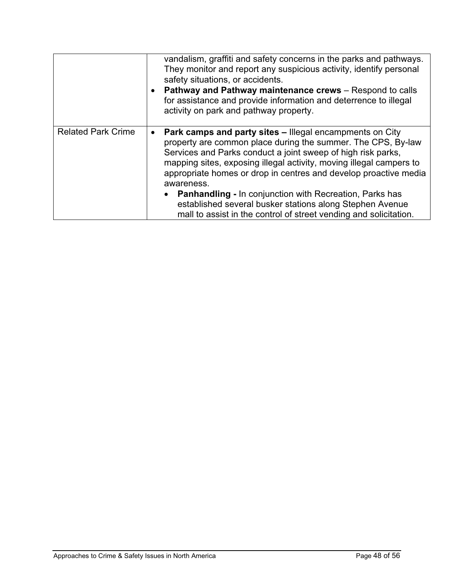|                           | vandalism, graffiti and safety concerns in the parks and pathways.<br>They monitor and report any suspicious activity, identify personal<br>safety situations, or accidents.<br>• Pathway and Pathway maintenance crews – Respond to calls<br>for assistance and provide information and deterrence to illegal<br>activity on park and pathway property.                                                                                                                                                                                                                       |
|---------------------------|--------------------------------------------------------------------------------------------------------------------------------------------------------------------------------------------------------------------------------------------------------------------------------------------------------------------------------------------------------------------------------------------------------------------------------------------------------------------------------------------------------------------------------------------------------------------------------|
| <b>Related Park Crime</b> | <b>Park camps and party sites – Illegal encampments on City</b><br>$\bullet$<br>property are common place during the summer. The CPS, By-law<br>Services and Parks conduct a joint sweep of high risk parks,<br>mapping sites, exposing illegal activity, moving illegal campers to<br>appropriate homes or drop in centres and develop proactive media<br>awareness.<br>Panhandling - In conjunction with Recreation, Parks has<br>$\bullet$<br>established several busker stations along Stephen Avenue<br>mall to assist in the control of street vending and solicitation. |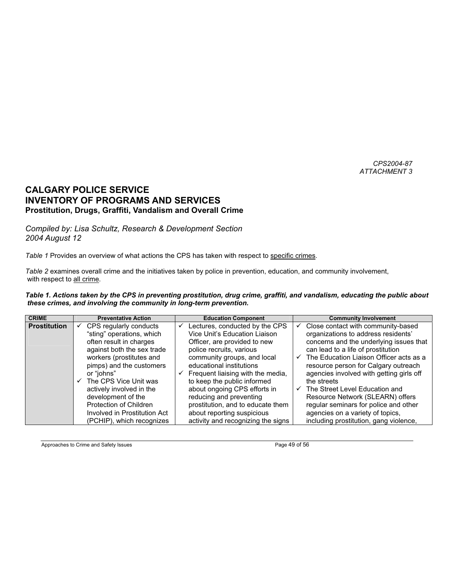*CPS2004-87 ATTACHMENT 3* 

#### **CALGARY POLICE SERVICE INVENTORY OF PROGRAMS AND SERVICES Prostitution, Drugs, Graffiti, Vandalism and Overall Crime**

*Compiled by: Lisa Schultz, Research & Development Section 2004 August 12*

*Table 1* Provides an overview of what actions the CPS has taken with respect to specific crimes.

*Table 2* examines overall crime and the initiatives taken by police in prevention, education, and community involvement, with respect to all crime.

*Table 1. Actions taken by the CPS in preventing prostitution, drug crime, graffiti, and vandalism, educating the public about these crimes, and involving the community in long-term prevention.* 

| <b>CRIME</b>        | <b>Preventative Action</b>                                                                                                                                                                         | <b>Education Component</b>                                                                                                                                                                                                            | <b>Community Involvement</b>                                                                                                                                                                                                                                                                                   |
|---------------------|----------------------------------------------------------------------------------------------------------------------------------------------------------------------------------------------------|---------------------------------------------------------------------------------------------------------------------------------------------------------------------------------------------------------------------------------------|----------------------------------------------------------------------------------------------------------------------------------------------------------------------------------------------------------------------------------------------------------------------------------------------------------------|
| <b>Prostitution</b> | CPS regularly conducts<br>$\checkmark$<br>"sting" operations, which<br>often result in charges<br>against both the sex trade<br>workers (prostitutes and<br>pimps) and the customers<br>or "johns" | Lectures, conducted by the CPS<br>✓<br>Vice Unit's Education Liaison<br>Officer, are provided to new<br>police recruits, various<br>community groups, and local<br>educational institutions<br>Frequent liaising with the media,<br>✓ | Close contact with community-based<br>$\checkmark$<br>organizations to address residents'<br>concerns and the underlying issues that<br>can lead to a life of prostitution<br>The Education Liaison Officer acts as a<br>✓<br>resource person for Calgary outreach<br>agencies involved with getting girls off |
|                     | $\checkmark$ The CPS Vice Unit was<br>actively involved in the<br>development of the<br>Protection of Children<br>Involved in Prostitution Act<br>(PCHIP), which recognizes                        | to keep the public informed<br>about ongoing CPS efforts in<br>reducing and preventing<br>prostitution, and to educate them<br>about reporting suspicious<br>activity and recognizing the signs                                       | the streets<br>The Street Level Education and<br>$\checkmark$<br>Resource Network (SLEARN) offers<br>regular seminars for police and other<br>agencies on a variety of topics,<br>including prostitution, gang violence,                                                                                       |

Approaches to Crime and Safety Issues **Page 49 of 56** Page 49 of 56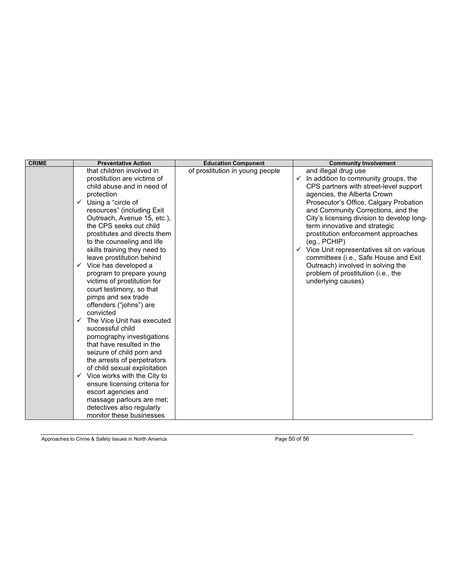| <b>CRIME</b> | <b>Preventative Action</b>                                    | <b>Education Component</b>      | <b>Community Involvement</b>                                            |
|--------------|---------------------------------------------------------------|---------------------------------|-------------------------------------------------------------------------|
|              | that children involved in<br>prostitution are victims of      | of prostitution in young people | and illegal drug use<br>In addition to community groups, the            |
|              | child abuse and in need of                                    |                                 | CPS partners with street-level support                                  |
|              | protection<br>$\checkmark$ Using a "circle of                 |                                 | agencies, the Alberta Crown<br>Prosecutor's Office, Calgary Probation   |
|              | resources" (including Exit                                    |                                 | and Community Corrections, and the                                      |
|              | Outreach, Avenue 15, etc.),                                   |                                 | City's licensing division to develop long-                              |
|              | the CPS seeks out child                                       |                                 | term innovative and strategic                                           |
|              | prostitutes and directs them                                  |                                 | prostitution enforcement approaches                                     |
|              | to the counseling and life                                    |                                 | (eg., PCHIP)                                                            |
|              | skills training they need to                                  |                                 | $\checkmark$ Vice Unit representatives sit on various                   |
|              | leave prostitution behind                                     |                                 | committees (i.e., Safe House and Exit                                   |
|              | $\checkmark$ Vice has developed a<br>program to prepare young |                                 | Outreach) involved in solving the<br>problem of prostitution (i.e., the |
|              | victims of prostitution for                                   |                                 | underlying causes)                                                      |
|              | court testimony, so that                                      |                                 |                                                                         |
|              | pimps and sex trade                                           |                                 |                                                                         |
|              | offenders ("johns") are                                       |                                 |                                                                         |
|              | convicted                                                     |                                 |                                                                         |
|              | $\checkmark$ The Vice Unit has executed                       |                                 |                                                                         |
|              | successful child                                              |                                 |                                                                         |
|              | pornography investigations<br>that have resulted in the       |                                 |                                                                         |
|              | seizure of child porn and                                     |                                 |                                                                         |
|              | the arrests of perpetrators                                   |                                 |                                                                         |
|              | of child sexual exploitation                                  |                                 |                                                                         |
|              | $\checkmark$ Vice works with the City to                      |                                 |                                                                         |
|              | ensure licensing criteria for                                 |                                 |                                                                         |
|              | escort agencies and                                           |                                 |                                                                         |
|              | massage parlours are met;                                     |                                 |                                                                         |
|              | detectives also regularly                                     |                                 |                                                                         |
|              | monitor these businesses                                      |                                 |                                                                         |

Approaches to Crime & Safety Issues in North America **Page 1986** Page 50 of 56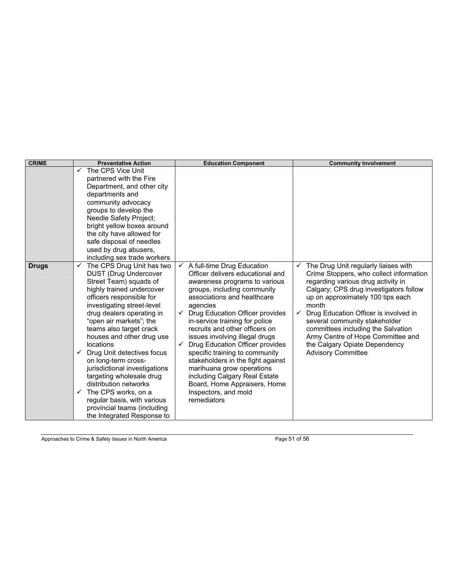| <b>CRIME</b> | <b>Preventative Action</b>                                                                                                                                                                                                                                                                                                                                                                                                                                                                                                                                                         | <b>Education Component</b>                                                                                                                                                                                                                                                                                                                                                                                                                                                                                                                                                     | <b>Community Involvement</b>                                                                                                                                                                                                                                                                                                                                                                                                                     |
|--------------|------------------------------------------------------------------------------------------------------------------------------------------------------------------------------------------------------------------------------------------------------------------------------------------------------------------------------------------------------------------------------------------------------------------------------------------------------------------------------------------------------------------------------------------------------------------------------------|--------------------------------------------------------------------------------------------------------------------------------------------------------------------------------------------------------------------------------------------------------------------------------------------------------------------------------------------------------------------------------------------------------------------------------------------------------------------------------------------------------------------------------------------------------------------------------|--------------------------------------------------------------------------------------------------------------------------------------------------------------------------------------------------------------------------------------------------------------------------------------------------------------------------------------------------------------------------------------------------------------------------------------------------|
|              | The CPS Vice Unit<br>partnered with the Fire<br>Department, and other city<br>departments and<br>community advocacy<br>groups to develop the<br>Needle Safety Project;<br>bright yellow boxes around<br>the city have allowed for<br>safe disposal of needles<br>used by drug abusers,<br>including sex trade workers                                                                                                                                                                                                                                                              |                                                                                                                                                                                                                                                                                                                                                                                                                                                                                                                                                                                |                                                                                                                                                                                                                                                                                                                                                                                                                                                  |
| <b>Drugs</b> | The CPS Drug Unit has two<br><b>DUST (Drug Undercover</b><br>Street Team) squads of<br>highly trained undercover<br>officers responsible for<br>investigating street-level<br>drug dealers operating in<br>"open air markets"; the<br>teams also target crack<br>houses and other drug use<br>locations<br>Drug Unit detectives focus<br>on long-term cross-<br>jurisdictional investigations<br>targeting wholesale drug<br>distribution networks<br>$\checkmark$ The CPS works, on a<br>regular basis, with various<br>provincial teams (including<br>the Integrated Response to | $\checkmark$ A full-time Drug Education<br>Officer delivers educational and<br>awareness programs to various<br>groups, including community<br>associations and healthcare<br>agencies<br>Drug Education Officer provides<br>in-service training for police<br>recruits and other officers on<br>issues involving illegal drugs<br>Drug Education Officer provides<br>specific training to community<br>stakeholders in the fight against<br>marihuana grow operations<br>including Calgary Real Estate<br>Board, Home Appraisers, Home<br>Inspectors, and mold<br>remediators | The Drug Unit regularly liaises with<br>Crime Stoppers, who collect information<br>regarding various drug activity in<br>Calgary; CPS drug investigators follow<br>up on approximately 100 tips each<br>month<br>$\checkmark$<br>Drug Education Officer is involved in<br>several community stakeholder<br>committees including the Salvation<br>Army Centre of Hope Committee and<br>the Calgary Opiate Dependency<br><b>Advisory Committee</b> |

Approaches to Crime & Safety Issues in North America **Page 19 and 20 and 20 and 20 and 20 and 20 and 20 and 20 and 20 and 20 and 20 and 20 and 20 and 20 and 20 and 20 and 20 and 20 and 20 and 20 and 20 and 20 and 20 and 20**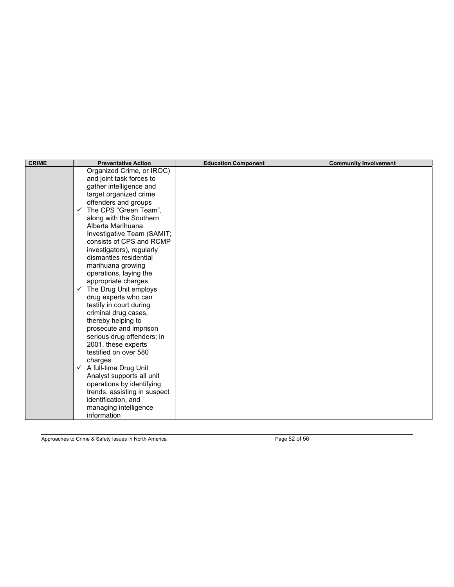| <b>CRIME</b> | <b>Preventative Action</b>         | <b>Education Component</b> | <b>Community Involvement</b> |
|--------------|------------------------------------|----------------------------|------------------------------|
|              | Organized Crime, or IROC)          |                            |                              |
|              | and joint task forces to           |                            |                              |
|              | gather intelligence and            |                            |                              |
|              | target organized crime             |                            |                              |
|              | offenders and groups               |                            |                              |
|              | $\checkmark$ The CPS "Green Team", |                            |                              |
|              | along with the Southern            |                            |                              |
|              | Alberta Marihuana                  |                            |                              |
|              | Investigative Team (SAMIT;         |                            |                              |
|              | consists of CPS and RCMP           |                            |                              |
|              | investigators), regularly          |                            |                              |
|              | dismantles residential             |                            |                              |
|              | marihuana growing                  |                            |                              |
|              | operations, laying the             |                            |                              |
|              | appropriate charges                |                            |                              |
|              | $\checkmark$ The Drug Unit employs |                            |                              |
|              | drug experts who can               |                            |                              |
|              | testify in court during            |                            |                              |
|              | criminal drug cases,               |                            |                              |
|              | thereby helping to                 |                            |                              |
|              | prosecute and imprison             |                            |                              |
|              | serious drug offenders; in         |                            |                              |
|              | 2001, these experts                |                            |                              |
|              | testified on over 580              |                            |                              |
|              | charges                            |                            |                              |
|              | $\checkmark$ A full-time Drug Unit |                            |                              |
|              | Analyst supports all unit          |                            |                              |
|              | operations by identifying          |                            |                              |
|              | trends, assisting in suspect       |                            |                              |
|              | identification, and                |                            |                              |
|              | managing intelligence              |                            |                              |
|              | information                        |                            |                              |

Approaches to Crime & Safety Issues in North America **Page 1946** Page 52 of 56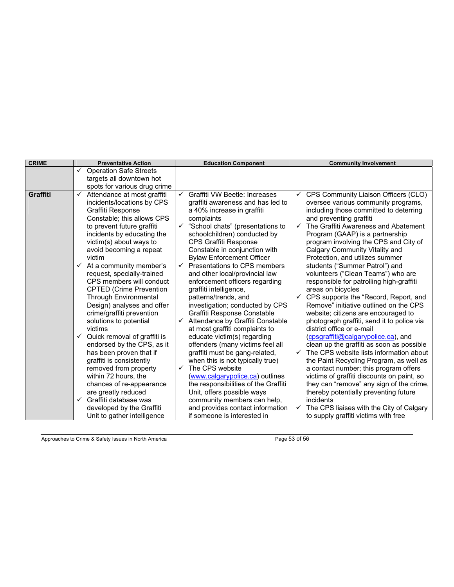| <b>CRIME</b>    | <b>Preventative Action</b>                                                                                                                                                                                                                                                                                                                                                                                                                                                                                              | <b>Education Component</b>                                                                                                                                                                                                                                                                                                                                                                                                                                                                                                            | <b>Community Involvement</b>                                                                                                                                                                                                                                                                                                                                                                                                                                                                                                                                                                                                |
|-----------------|-------------------------------------------------------------------------------------------------------------------------------------------------------------------------------------------------------------------------------------------------------------------------------------------------------------------------------------------------------------------------------------------------------------------------------------------------------------------------------------------------------------------------|---------------------------------------------------------------------------------------------------------------------------------------------------------------------------------------------------------------------------------------------------------------------------------------------------------------------------------------------------------------------------------------------------------------------------------------------------------------------------------------------------------------------------------------|-----------------------------------------------------------------------------------------------------------------------------------------------------------------------------------------------------------------------------------------------------------------------------------------------------------------------------------------------------------------------------------------------------------------------------------------------------------------------------------------------------------------------------------------------------------------------------------------------------------------------------|
|                 | <b>Operation Safe Streets</b>                                                                                                                                                                                                                                                                                                                                                                                                                                                                                           |                                                                                                                                                                                                                                                                                                                                                                                                                                                                                                                                       |                                                                                                                                                                                                                                                                                                                                                                                                                                                                                                                                                                                                                             |
|                 | targets all downtown hot                                                                                                                                                                                                                                                                                                                                                                                                                                                                                                |                                                                                                                                                                                                                                                                                                                                                                                                                                                                                                                                       |                                                                                                                                                                                                                                                                                                                                                                                                                                                                                                                                                                                                                             |
|                 |                                                                                                                                                                                                                                                                                                                                                                                                                                                                                                                         |                                                                                                                                                                                                                                                                                                                                                                                                                                                                                                                                       |                                                                                                                                                                                                                                                                                                                                                                                                                                                                                                                                                                                                                             |
| <b>Graffiti</b> | spots for various drug crime<br>Attendance at most graffiti<br>$\checkmark$<br>incidents/locations by CPS<br>Graffiti Response<br>Constable; this allows CPS<br>to prevent future graffiti<br>incidents by educating the<br>victim(s) about ways to<br>avoid becoming a repeat<br>victim<br>$\checkmark$ At a community member's<br>request, specially-trained<br>CPS members will conduct<br><b>CPTED (Crime Prevention</b><br><b>Through Environmental</b><br>Design) analyses and offer<br>crime/graffiti prevention | <b>Graffiti VW Beetle: Increases</b><br>✓<br>graffiti awareness and has led to<br>a 40% increase in graffiti<br>complaints<br>"School chats" (presentations to<br>✓<br>schoolchildren) conducted by<br><b>CPS Graffiti Response</b><br>Constable in conjunction with<br><b>Bylaw Enforcement Officer</b><br>Presentations to CPS members<br>✓<br>and other local/provincial law<br>enforcement officers regarding<br>graffiti intelligence,<br>patterns/trends, and<br>investigation; conducted by CPS<br>Graffiti Response Constable | CPS Community Liaison Officers (CLO)<br>✓<br>oversee various community programs,<br>including those committed to deterring<br>and preventing graffiti<br>The Graffiti Awareness and Abatement<br>✓<br>Program (GAAP) is a partnership<br>program involving the CPS and City of<br>Calgary Community Vitality and<br>Protection, and utilizes summer<br>students ("Summer Patrol") and<br>volunteers ("Clean Teams") who are<br>responsible for patrolling high-graffiti<br>areas on bicycles<br>CPS supports the "Record, Report, and<br>✓<br>Remove" initiative outlined on the CPS<br>website; citizens are encouraged to |
|                 | solutions to potential<br>victims<br>$\checkmark$ Quick removal of graffiti is<br>endorsed by the CPS, as it<br>has been proven that if<br>graffiti is consistently<br>removed from property<br>within 72 hours, the<br>chances of re-appearance<br>are greatly reduced<br>$\checkmark$ Graffiti database was<br>developed by the Graffiti<br>Unit to gather intelligence                                                                                                                                               | Attendance by Graffiti Constable<br>$\checkmark$<br>at most graffiti complaints to<br>educate victim(s) regarding<br>offenders (many victims feel all<br>graffiti must be gang-related,<br>when this is not typically true)<br>$\checkmark$ The CPS website<br>(www.calgarypolice.ca) outlines<br>the responsibilities of the Graffiti<br>Unit, offers possible ways<br>community members can help,<br>and provides contact information<br>if someone is interested in                                                                | photograph graffiti, send it to police via<br>district office or e-mail<br>(cpsgraffiti@calgarypolice.ca), and<br>clean up the graffiti as soon as possible<br>The CPS website lists information about<br>✓<br>the Paint Recycling Program, as well as<br>a contact number; this program offers<br>victims of graffiti discounts on paint, so<br>they can "remove" any sign of the crime,<br>thereby potentially preventing future<br>incidents<br>The CPS liaises with the City of Calgary<br>✓<br>to supply graffiti victims with free                                                                                    |

Approaches to Crime & Safety Issues in North America **Page 1986** Page 53 of 56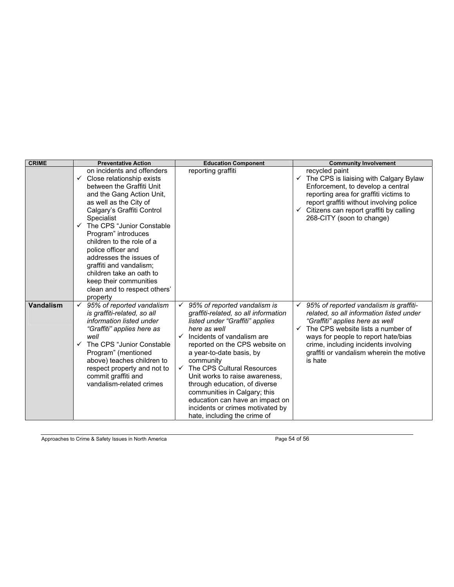| <b>CRIME</b> | <b>Preventative Action</b>                                                                                                                                                                                                                                                                                                                                                                                                                                                       | <b>Education Component</b>                                                                                                                                                                                                                                                                                                                                                                                                                                                                            | <b>Community Involvement</b>                                                                                                                                                                                                                                                                                     |
|--------------|----------------------------------------------------------------------------------------------------------------------------------------------------------------------------------------------------------------------------------------------------------------------------------------------------------------------------------------------------------------------------------------------------------------------------------------------------------------------------------|-------------------------------------------------------------------------------------------------------------------------------------------------------------------------------------------------------------------------------------------------------------------------------------------------------------------------------------------------------------------------------------------------------------------------------------------------------------------------------------------------------|------------------------------------------------------------------------------------------------------------------------------------------------------------------------------------------------------------------------------------------------------------------------------------------------------------------|
|              | on incidents and offenders<br>$\checkmark$ Close relationship exists<br>between the Graffiti Unit<br>and the Gang Action Unit,<br>as well as the City of<br>Calgary's Graffiti Control<br>Specialist<br>$\checkmark$ The CPS "Junior Constable<br>Program" introduces<br>children to the role of a<br>police officer and<br>addresses the issues of<br>graffiti and vandalism;<br>children take an oath to<br>keep their communities<br>clean and to respect others'<br>property | reporting graffiti                                                                                                                                                                                                                                                                                                                                                                                                                                                                                    | recycled paint<br>The CPS is liaising with Calgary Bylaw<br>Enforcement, to develop a central<br>reporting area for graffiti victims to<br>report graffiti without involving police<br>Citizens can report graffiti by calling<br>268-CITY (soon to change)                                                      |
| Vandalism    | $\checkmark$ 95% of reported vandalism<br>is graffiti-related, so all<br>information listed under<br>"Graffiti" applies here as<br>well<br>$\checkmark$ The CPS "Junior Constable<br>Program" (mentioned<br>above) teaches children to<br>respect property and not to<br>commit graffiti and<br>vandalism-related crimes                                                                                                                                                         | 95% of reported vandalism is<br>$\checkmark$<br>graffiti-related, so all information<br>listed under "Graffiti" applies<br>here as well<br>Incidents of vandalism are<br>reported on the CPS website on<br>a year-to-date basis, by<br>community<br>$\checkmark$ The CPS Cultural Resources<br>Unit works to raise awareness,<br>through education, of diverse<br>communities in Calgary; this<br>education can have an impact on<br>incidents or crimes motivated by<br>hate, including the crime of | 95% of reported vandalism is graffiti-<br>$\checkmark$<br>related, so all information listed under<br>"Graffiti" applies here as well<br>The CPS website lists a number of<br>ways for people to report hate/bias<br>crime, including incidents involving<br>graffiti or vandalism wherein the motive<br>is hate |

Approaches to Crime & Safety Issues in North America **Page 1941** Page 54 of 56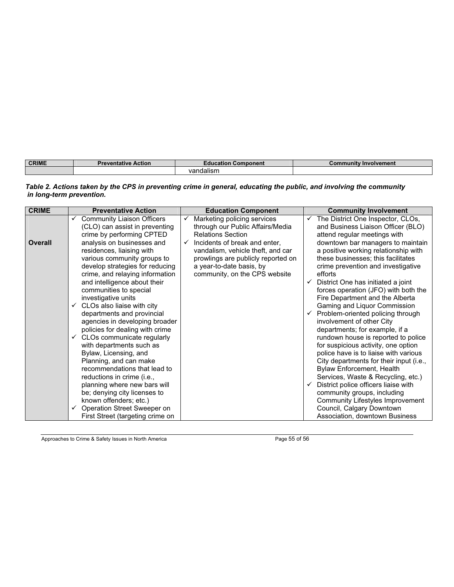| <b>CRIME</b> | Preventative Action I | Education Component | Community Involvement |
|--------------|-----------------------|---------------------|-----------------------|
|              |                       | vandalısm           |                       |

#### *Table 2. Actions taken by the CPS in preventing crime in general, educating the public, and involving the community in long-term prevention.*

| <b>CRIME</b>   | <b>Preventative Action</b>                                                                                                                                                                                                                                                                                                                                                                                                                                                                                                       | <b>Education Component</b>                                                                                                                                                                                                                                           | <b>Community Involvement</b>                                                                                                                                                                                                                                                                                                                                                                                                                                                                                                                                            |
|----------------|----------------------------------------------------------------------------------------------------------------------------------------------------------------------------------------------------------------------------------------------------------------------------------------------------------------------------------------------------------------------------------------------------------------------------------------------------------------------------------------------------------------------------------|----------------------------------------------------------------------------------------------------------------------------------------------------------------------------------------------------------------------------------------------------------------------|-------------------------------------------------------------------------------------------------------------------------------------------------------------------------------------------------------------------------------------------------------------------------------------------------------------------------------------------------------------------------------------------------------------------------------------------------------------------------------------------------------------------------------------------------------------------------|
| <b>Overall</b> | <b>Community Liaison Officers</b><br>(CLO) can assist in preventing<br>crime by performing CPTED<br>analysis on businesses and<br>residences, liaising with<br>various community groups to<br>develop strategies for reducing<br>crime, and relaying information<br>and intelligence about their<br>communities to special<br>investigative units<br>CLOs also liaise with city<br>departments and provincial<br>agencies in developing broader<br>policies for dealing with crime<br>CLOs communicate regularly<br>$\checkmark$ | Marketing policing services<br>through our Public Affairs/Media<br><b>Relations Section</b><br>Incidents of break and enter,<br>vandalism, vehicle theft, and car<br>prowlings are publicly reported on<br>a year-to-date basis, by<br>community, on the CPS website | The District One Inspector, CLOs,<br>and Business Liaison Officer (BLO)<br>attend regular meetings with<br>downtown bar managers to maintain<br>a positive working relationship with<br>these businesses; this facilitates<br>crime prevention and investigative<br>efforts<br>District One has initiated a joint<br>forces operation (JFO) with both the<br>Fire Department and the Alberta<br>Gaming and Liquor Commission<br>Problem-oriented policing through<br>involvement of other City<br>departments; for example, if a<br>rundown house is reported to police |
|                | with departments such as<br>Bylaw, Licensing, and<br>Planning, and can make<br>recommendations that lead to<br>reductions in crime (i.e.,<br>planning where new bars will<br>be; denying city licenses to<br>known offenders; etc.)<br>Operation Street Sweeper on<br>✓<br>First Street (targeting crime on                                                                                                                                                                                                                      |                                                                                                                                                                                                                                                                      | for suspicious activity, one option<br>police have is to liaise with various<br>City departments for their input (i.e.,<br><b>Bylaw Enforcement, Health</b><br>Services, Waste & Recycling, etc.)<br>District police officers liaise with<br>community groups, including<br><b>Community Lifestyles Improvement</b><br>Council, Calgary Downtown<br>Association, downtown Business                                                                                                                                                                                      |

Approaches to Crime & Safety Issues in North America **Page 1966** Page 55 of 56